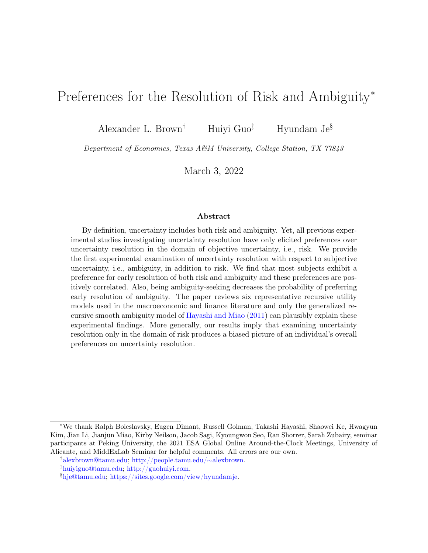# Preferences for the Resolution of Risk and Ambiguity<sup>∗</sup>

Alexander L. Brown<sup>†</sup> Huiyi Guo<sup>‡</sup> Hyundam Je<sup>§</sup>

Department of Economics, Texas A&M University, College Station, TX 77843

March 3, 2022

#### Abstract

By definition, uncertainty includes both risk and ambiguity. Yet, all previous experimental studies investigating uncertainty resolution have only elicited preferences over uncertainty resolution in the domain of objective uncertainty, i.e., risk. We provide the first experimental examination of uncertainty resolution with respect to subjective uncertainty, i.e., ambiguity, in addition to risk. We find that most subjects exhibit a preference for early resolution of both risk and ambiguity and these preferences are positively correlated. Also, being ambiguity-seeking decreases the probability of preferring early resolution of ambiguity. The paper reviews six representative recursive utility models used in the macroeconomic and finance literature and only the generalized recursive smooth ambiguity model of [Hayashi and Miao](#page-36-0) [\(2011\)](#page-36-0) can plausibly explain these experimental findings. More generally, our results imply that examining uncertainty resolution only in the domain of risk produces a biased picture of an individual's overall preferences on uncertainty resolution.

<sup>∗</sup>We thank Ralph Boleslavsky, Eugen Dimant, Russell Golman, Takashi Hayashi, Shaowei Ke, Hwagyun Kim, Jian Li, Jianjun Miao, Kirby Neilson, Jacob Sagi, Kyoungwon Seo, Ran Shorrer, Sarah Zubairy, seminar participants at Peking University, the 2021 ESA Global Online Around-the-Clock Meetings, University of Alicante, and MiddExLab Seminar for helpful comments. All errors are our own.

<sup>†</sup>[alexbrown@tamu.edu;](mailto:alexbrown@tamu.edu) [http://people.tamu.edu/](http://people.tamu.edu/%7Ealexbrown)∼alexbrown.

<sup>‡</sup>[huiyiguo@tamu.edu;](mailto:huiyiguo@tamu.edu) [http://guohuiyi.com.](http://guohuiyi.com)

<sup>§</sup>[hje@tamu.edu;](mailto:hje@tamu.edu) [https://sites.google.com/view/hyundamje.](https://sites.google.com/view/hyundamje)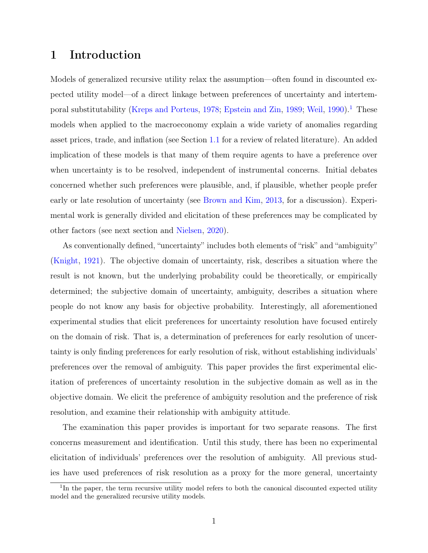# 1 Introduction

Models of generalized recursive utility relax the assumption—often found in discounted expected utility model—of a direct linkage between preferences of uncertainty and intertem-poral substitutability [\(Kreps and Porteus,](#page-36-1) [1978;](#page-36-1) [Epstein and Zin,](#page-35-0) [1989;](#page-35-0) [Weil,](#page-37-0) [1990\)](#page-37-0).<sup>[1](#page-1-0)</sup> These models when applied to the macroeconomy explain a wide variety of anomalies regarding asset prices, trade, and inflation (see Section [1.1](#page-4-0) for a review of related literature). An added implication of these models is that many of them require agents to have a preference over when uncertainty is to be resolved, independent of instrumental concerns. Initial debates concerned whether such preferences were plausible, and, if plausible, whether people prefer early or late resolution of uncertainty (see [Brown and Kim,](#page-34-0) [2013,](#page-34-0) for a discussion). Experimental work is generally divided and elicitation of these preferences may be complicated by other factors (see next section and [Nielsen,](#page-37-1) [2020\)](#page-37-1).

As conventionally defined, "uncertainty" includes both elements of "risk" and "ambiguity" [\(Knight,](#page-36-2) [1921\)](#page-36-2). The objective domain of uncertainty, risk, describes a situation where the result is not known, but the underlying probability could be theoretically, or empirically determined; the subjective domain of uncertainty, ambiguity, describes a situation where people do not know any basis for objective probability. Interestingly, all aforementioned experimental studies that elicit preferences for uncertainty resolution have focused entirely on the domain of risk. That is, a determination of preferences for early resolution of uncertainty is only finding preferences for early resolution of risk, without establishing individuals' preferences over the removal of ambiguity. This paper provides the first experimental elicitation of preferences of uncertainty resolution in the subjective domain as well as in the objective domain. We elicit the preference of ambiguity resolution and the preference of risk resolution, and examine their relationship with ambiguity attitude.

The examination this paper provides is important for two separate reasons. The first concerns measurement and identification. Until this study, there has been no experimental elicitation of individuals' preferences over the resolution of ambiguity. All previous studies have used preferences of risk resolution as a proxy for the more general, uncertainty

<span id="page-1-0"></span><sup>&</sup>lt;sup>1</sup>In the paper, the term recursive utility model refers to both the canonical discounted expected utility model and the generalized recursive utility models.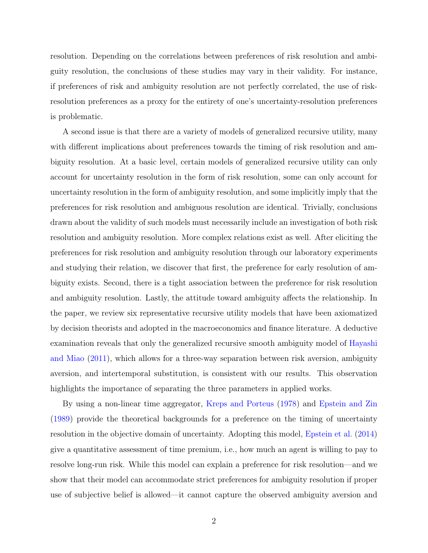resolution. Depending on the correlations between preferences of risk resolution and ambiguity resolution, the conclusions of these studies may vary in their validity. For instance, if preferences of risk and ambiguity resolution are not perfectly correlated, the use of riskresolution preferences as a proxy for the entirety of one's uncertainty-resolution preferences is problematic.

A second issue is that there are a variety of models of generalized recursive utility, many with different implications about preferences towards the timing of risk resolution and ambiguity resolution. At a basic level, certain models of generalized recursive utility can only account for uncertainty resolution in the form of risk resolution, some can only account for uncertainty resolution in the form of ambiguity resolution, and some implicitly imply that the preferences for risk resolution and ambiguous resolution are identical. Trivially, conclusions drawn about the validity of such models must necessarily include an investigation of both risk resolution and ambiguity resolution. More complex relations exist as well. After eliciting the preferences for risk resolution and ambiguity resolution through our laboratory experiments and studying their relation, we discover that first, the preference for early resolution of ambiguity exists. Second, there is a tight association between the preference for risk resolution and ambiguity resolution. Lastly, the attitude toward ambiguity affects the relationship. In the paper, we review six representative recursive utility models that have been axiomatized by decision theorists and adopted in the macroeconomics and finance literature. A deductive examination reveals that only the generalized recursive smooth ambiguity model of [Hayashi](#page-36-0) [and Miao](#page-36-0) [\(2011\)](#page-36-0), which allows for a three-way separation between risk aversion, ambiguity aversion, and intertemporal substitution, is consistent with our results. This observation highlights the importance of separating the three parameters in applied works.

By using a non-linear time aggregator, [Kreps and Porteus](#page-36-1) [\(1978\)](#page-36-1) and [Epstein and Zin](#page-35-0) [\(1989\)](#page-35-0) provide the theoretical backgrounds for a preference on the timing of uncertainty resolution in the objective domain of uncertainty. Adopting this model, [Epstein et al.](#page-35-1) [\(2014\)](#page-35-1) give a quantitative assessment of time premium, i.e., how much an agent is willing to pay to resolve long-run risk. While this model can explain a preference for risk resolution—and we show that their model can accommodate strict preferences for ambiguity resolution if proper use of subjective belief is allowed—it cannot capture the observed ambiguity aversion and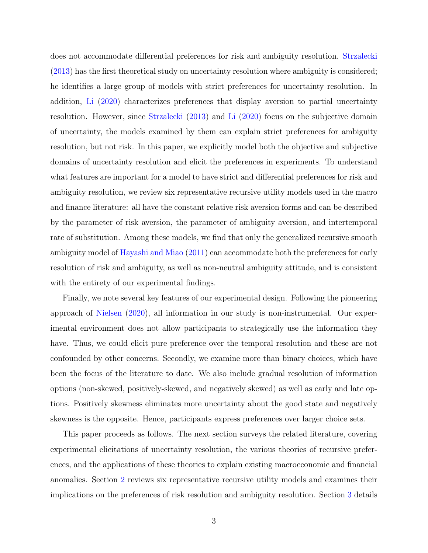does not accommodate differential preferences for risk and ambiguity resolution. [Strzalecki](#page-37-2) [\(2013\)](#page-37-2) has the first theoretical study on uncertainty resolution where ambiguity is considered; he identifies a large group of models with strict preferences for uncertainty resolution. In addition, [Li](#page-36-3) [\(2020\)](#page-36-3) characterizes preferences that display aversion to partial uncertainty resolution. However, since [Strzalecki](#page-37-2) [\(2013\)](#page-37-2) and [Li](#page-36-3) [\(2020\)](#page-36-3) focus on the subjective domain of uncertainty, the models examined by them can explain strict preferences for ambiguity resolution, but not risk. In this paper, we explicitly model both the objective and subjective domains of uncertainty resolution and elicit the preferences in experiments. To understand what features are important for a model to have strict and differential preferences for risk and ambiguity resolution, we review six representative recursive utility models used in the macro and finance literature: all have the constant relative risk aversion forms and can be described by the parameter of risk aversion, the parameter of ambiguity aversion, and intertemporal rate of substitution. Among these models, we find that only the generalized recursive smooth ambiguity model of [Hayashi and Miao](#page-36-0) [\(2011\)](#page-36-0) can accommodate both the preferences for early resolution of risk and ambiguity, as well as non-neutral ambiguity attitude, and is consistent with the entirety of our experimental findings.

Finally, we note several key features of our experimental design. Following the pioneering approach of [Nielsen](#page-37-1) [\(2020\)](#page-37-1), all information in our study is non-instrumental. Our experimental environment does not allow participants to strategically use the information they have. Thus, we could elicit pure preference over the temporal resolution and these are not confounded by other concerns. Secondly, we examine more than binary choices, which have been the focus of the literature to date. We also include gradual resolution of information options (non-skewed, positively-skewed, and negatively skewed) as well as early and late options. Positively skewness eliminates more uncertainty about the good state and negatively skewness is the opposite. Hence, participants express preferences over larger choice sets.

This paper proceeds as follows. The next section surveys the related literature, covering experimental elicitations of uncertainty resolution, the various theories of recursive preferences, and the applications of these theories to explain existing macroeconomic and financial anomalies. Section [2](#page-7-0) reviews six representative recursive utility models and examines their implications on the preferences of risk resolution and ambiguity resolution. Section [3](#page-17-0) details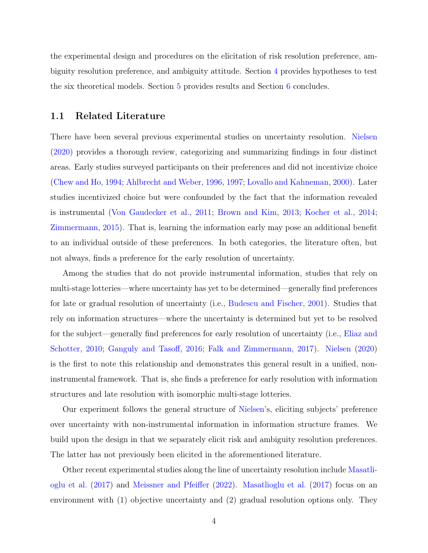the experimental design and procedures on the elicitation of risk resolution preference, ambiguity resolution preference, and ambiguity attitude. Section [4](#page-27-0) provides hypotheses to test the six theoretical models. Section [5](#page-27-1) provides results and Section [6](#page-32-0) concludes.

#### <span id="page-4-0"></span>1.1 Related Literature

There have been several previous experimental studies on uncertainty resolution. [Nielsen](#page-37-1) [\(2020\)](#page-37-1) provides a thorough review, categorizing and summarizing findings in four distinct areas. Early studies surveyed participants on their preferences and did not incentivize choice [\(Chew and Ho,](#page-34-1) [1994;](#page-34-1) [Ahlbrecht and Weber,](#page-33-0) [1996,](#page-33-0) [1997;](#page-34-2) [Lovallo and Kahneman,](#page-36-4) [2000\)](#page-36-4). Later studies incentivized choice but were confounded by the fact that the information revealed is instrumental [\(Von Gaudecker et al.,](#page-37-3) [2011;](#page-37-3) [Brown and Kim,](#page-34-0) [2013;](#page-34-0) [Kocher et al.,](#page-36-5) [2014;](#page-36-5) [Zimmermann,](#page-37-4) [2015\)](#page-37-4). That is, learning the information early may pose an additional benefit to an individual outside of these preferences. In both categories, the literature often, but not always, finds a preference for the early resolution of uncertainty.

Among the studies that do not provide instrumental information, studies that rely on multi-stage lotteries—where uncertainty has yet to be determined—generally find preferences for late or gradual resolution of uncertainty (i.e., [Budescu and Fischer,](#page-34-3) [2001\)](#page-34-3). Studies that rely on information structures—where the uncertainty is determined but yet to be resolved for the subject—generally find preferences for early resolution of uncertainty (i.e., [Eliaz and](#page-34-4) [Schotter,](#page-34-4) [2010;](#page-34-4) [Ganguly and Tasoff,](#page-35-2) [2016;](#page-35-2) [Falk and Zimmermann,](#page-35-3) [2017\)](#page-35-3). [Nielsen](#page-37-1) [\(2020\)](#page-37-1) is the first to note this relationship and demonstrates this general result in a unified, noninstrumental framework. That is, she finds a preference for early resolution with information structures and late resolution with isomorphic multi-stage lotteries.

Our experiment follows the general structure of [Nielsen'](#page-37-1)s, eliciting subjects' preference over uncertainty with non-instrumental information in information structure frames. We build upon the design in that we separately elicit risk and ambiguity resolution preferences. The latter has not previously been elicited in the aforementioned literature.

Other recent experimental studies along the line of uncertainty resolution include [Masatli](#page-37-5)[oglu et al.](#page-37-5) [\(2017\)](#page-37-5) and [Meissner and Pfeiffer](#page-37-6) [\(2022\)](#page-37-6). [Masatlioglu et al.](#page-37-5) [\(2017\)](#page-37-5) focus on an environment with (1) objective uncertainty and (2) gradual resolution options only. They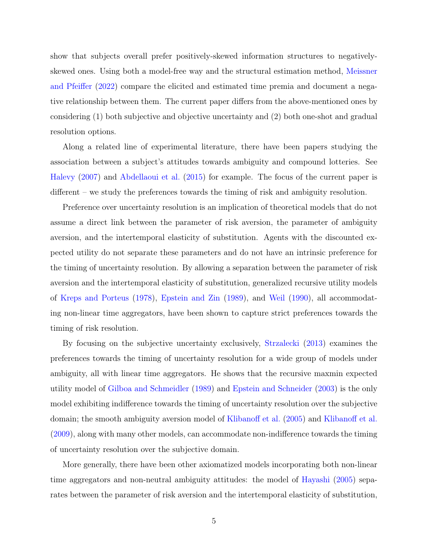show that subjects overall prefer positively-skewed information structures to negativelyskewed ones. Using both a model-free way and the structural estimation method, [Meissner](#page-37-6) [and Pfeiffer](#page-37-6) [\(2022\)](#page-37-6) compare the elicited and estimated time premia and document a negative relationship between them. The current paper differs from the above-mentioned ones by considering (1) both subjective and objective uncertainty and (2) both one-shot and gradual resolution options.

Along a related line of experimental literature, there have been papers studying the association between a subject's attitudes towards ambiguity and compound lotteries. See [Halevy](#page-35-4) [\(2007\)](#page-35-4) and [Abdellaoui et al.](#page-33-1) [\(2015\)](#page-33-1) for example. The focus of the current paper is different – we study the preferences towards the timing of risk and ambiguity resolution.

Preference over uncertainty resolution is an implication of theoretical models that do not assume a direct link between the parameter of risk aversion, the parameter of ambiguity aversion, and the intertemporal elasticity of substitution. Agents with the discounted expected utility do not separate these parameters and do not have an intrinsic preference for the timing of uncertainty resolution. By allowing a separation between the parameter of risk aversion and the intertemporal elasticity of substitution, generalized recursive utility models of [Kreps and Porteus](#page-36-1) [\(1978\)](#page-36-1), [Epstein and Zin](#page-35-0) [\(1989\)](#page-35-0), and [Weil](#page-37-0) [\(1990\)](#page-37-0), all accommodating non-linear time aggregators, have been shown to capture strict preferences towards the timing of risk resolution.

By focusing on the subjective uncertainty exclusively, [Strzalecki](#page-37-2) [\(2013\)](#page-37-2) examines the preferences towards the timing of uncertainty resolution for a wide group of models under ambiguity, all with linear time aggregators. He shows that the recursive maxmin expected utility model of [Gilboa and Schmeidler](#page-35-5) [\(1989\)](#page-35-5) and [Epstein and Schneider](#page-35-6) [\(2003\)](#page-35-6) is the only model exhibiting indifference towards the timing of uncertainty resolution over the subjective domain; the smooth ambiguity aversion model of [Klibanoff et al.](#page-36-6) [\(2005\)](#page-36-6) and [Klibanoff et al.](#page-36-7) [\(2009\)](#page-36-7), along with many other models, can accommodate non-indifference towards the timing of uncertainty resolution over the subjective domain.

More generally, there have been other axiomatized models incorporating both non-linear time aggregators and non-neutral ambiguity attitudes: the model of [Hayashi](#page-35-7) [\(2005\)](#page-35-7) separates between the parameter of risk aversion and the intertemporal elasticity of substitution,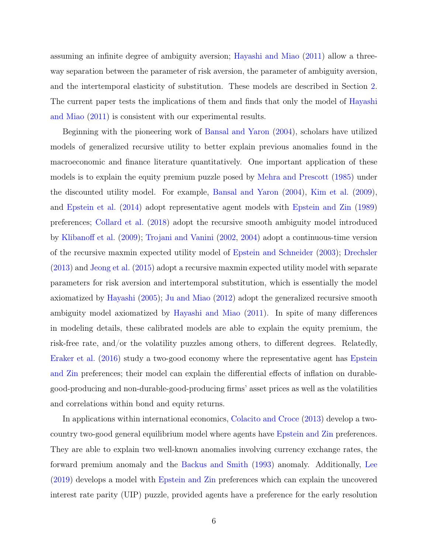assuming an infinite degree of ambiguity aversion; [Hayashi and Miao](#page-36-0) [\(2011\)](#page-36-0) allow a threeway separation between the parameter of risk aversion, the parameter of ambiguity aversion, and the intertemporal elasticity of substitution. These models are described in Section [2.](#page-7-0) The current paper tests the implications of them and finds that only the model of [Hayashi](#page-36-0) [and Miao](#page-36-0) [\(2011\)](#page-36-0) is consistent with our experimental results.

Beginning with the pioneering work of [Bansal and Yaron](#page-34-5) [\(2004\)](#page-34-5), scholars have utilized models of generalized recursive utility to better explain previous anomalies found in the macroeconomic and finance literature quantitatively. One important application of these models is to explain the equity premium puzzle posed by [Mehra and Prescott](#page-37-7) [\(1985\)](#page-37-7) under the discounted utility model. For example, [Bansal and Yaron](#page-34-5) [\(2004\)](#page-34-5), [Kim et al.](#page-36-8) [\(2009\)](#page-36-8), and [Epstein et al.](#page-35-1) [\(2014\)](#page-35-1) adopt representative agent models with [Epstein and Zin](#page-35-0) [\(1989\)](#page-35-0) preferences; [Collard et al.](#page-34-6) [\(2018\)](#page-34-6) adopt the recursive smooth ambiguity model introduced by [Klibanoff et al.](#page-36-7) [\(2009\)](#page-36-7); [Trojani and Vanini](#page-37-8) [\(2002,](#page-37-8) [2004\)](#page-37-9) adopt a continuous-time version of the recursive maxmin expected utility model of [Epstein and Schneider](#page-35-6) [\(2003\)](#page-35-6); [Drechsler](#page-34-7) [\(2013\)](#page-34-7) and [Jeong et al.](#page-36-9) [\(2015\)](#page-36-9) adopt a recursive maxmin expected utility model with separate parameters for risk aversion and intertemporal substitution, which is essentially the model axiomatized by [Hayashi](#page-35-7) [\(2005\)](#page-35-7); [Ju and Miao](#page-36-10) [\(2012\)](#page-36-10) adopt the generalized recursive smooth ambiguity model axiomatized by [Hayashi and Miao](#page-36-0) [\(2011\)](#page-36-0). In spite of many differences in modeling details, these calibrated models are able to explain the equity premium, the risk-free rate, and/or the volatility puzzles among others, to different degrees. Relatedly, [Eraker et al.](#page-35-8) [\(2016\)](#page-35-8) study a two-good economy where the representative agent has [Epstein](#page-35-0) [and Zin](#page-35-0) preferences; their model can explain the differential effects of inflation on durablegood-producing and non-durable-good-producing firms' asset prices as well as the volatilities and correlations within bond and equity returns.

In applications within international economics, [Colacito and Croce](#page-34-8) [\(2013\)](#page-34-8) develop a twocountry two-good general equilibrium model where agents have [Epstein and Zin](#page-35-0) preferences. They are able to explain two well-known anomalies involving currency exchange rates, the forward premium anomaly and the [Backus and Smith](#page-34-9) [\(1993\)](#page-34-9) anomaly. Additionally, [Lee](#page-36-11) [\(2019\)](#page-36-11) develops a model with [Epstein and Zin](#page-35-0) preferences which can explain the uncovered interest rate parity (UIP) puzzle, provided agents have a preference for the early resolution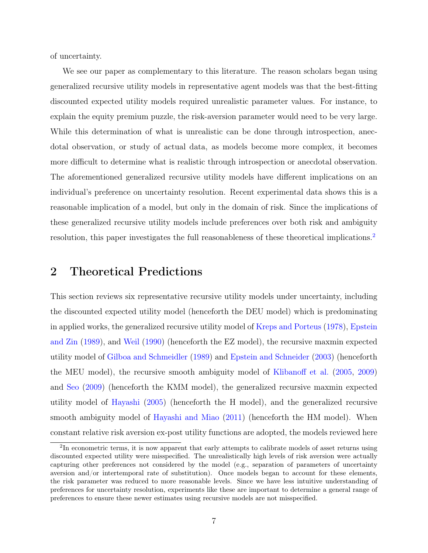of uncertainty.

We see our paper as complementary to this literature. The reason scholars began using generalized recursive utility models in representative agent models was that the best-fitting discounted expected utility models required unrealistic parameter values. For instance, to explain the equity premium puzzle, the risk-aversion parameter would need to be very large. While this determination of what is unrealistic can be done through introspection, anecdotal observation, or study of actual data, as models become more complex, it becomes more difficult to determine what is realistic through introspection or anecdotal observation. The aforementioned generalized recursive utility models have different implications on an individual's preference on uncertainty resolution. Recent experimental data shows this is a reasonable implication of a model, but only in the domain of risk. Since the implications of these generalized recursive utility models include preferences over both risk and ambiguity resolution, this paper investigates the full reasonableness of these theoretical implications.[2](#page-7-1)

### <span id="page-7-0"></span>2 Theoretical Predictions

This section reviews six representative recursive utility models under uncertainty, including the discounted expected utility model (henceforth the DEU model) which is predominating in applied works, the generalized recursive utility model of [Kreps and Porteus](#page-36-1) [\(1978\)](#page-36-1), [Epstein](#page-35-0) [and Zin](#page-35-0) [\(1989\)](#page-35-0), and [Weil](#page-37-0) [\(1990\)](#page-37-0) (henceforth the EZ model), the recursive maxmin expected utility model of [Gilboa and Schmeidler](#page-35-5) [\(1989\)](#page-35-5) and [Epstein and Schneider](#page-35-6) [\(2003\)](#page-35-6) (henceforth the MEU model), the recursive smooth ambiguity model of [Klibanoff et al.](#page-36-6) [\(2005,](#page-36-6) [2009\)](#page-36-7) and [Seo](#page-37-10) [\(2009\)](#page-37-10) (henceforth the KMM model), the generalized recursive maxmin expected utility model of [Hayashi](#page-35-7) [\(2005\)](#page-35-7) (henceforth the H model), and the generalized recursive smooth ambiguity model of [Hayashi and Miao](#page-36-0) [\(2011\)](#page-36-0) (henceforth the HM model). When constant relative risk aversion ex-post utility functions are adopted, the models reviewed here

<span id="page-7-1"></span><sup>&</sup>lt;sup>2</sup>In econometric terms, it is now apparent that early attempts to calibrate models of asset returns using discounted expected utility were misspecified. The unrealistically high levels of risk aversion were actually capturing other preferences not considered by the model (e.g., separation of parameters of uncertainty aversion and/or intertemporal rate of substitution). Once models began to account for these elements, the risk parameter was reduced to more reasonable levels. Since we have less intuitive understanding of preferences for uncertainty resolution, experiments like these are important to determine a general range of preferences to ensure these newer estimates using recursive models are not misspecified.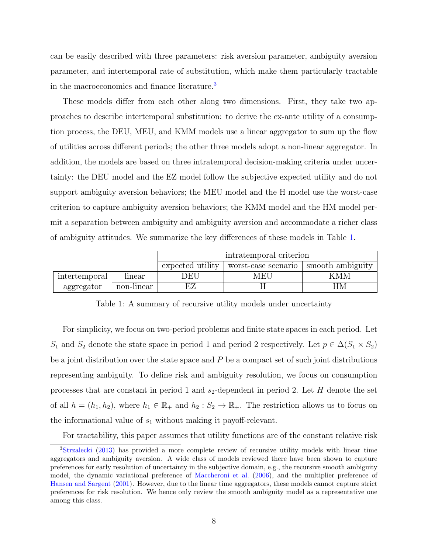can be easily described with three parameters: risk aversion parameter, ambiguity aversion parameter, and intertemporal rate of substitution, which make them particularly tractable in the macroeconomics and finance literature.<sup>[3](#page-8-0)</sup>

These models differ from each other along two dimensions. First, they take two approaches to describe intertemporal substitution: to derive the ex-ante utility of a consumption process, the DEU, MEU, and KMM models use a linear aggregator to sum up the flow of utilities across different periods; the other three models adopt a non-linear aggregator. In addition, the models are based on three intratemporal decision-making criteria under uncertainty: the DEU model and the EZ model follow the subjective expected utility and do not support ambiguity aversion behaviors; the MEU model and the H model use the worst-case criterion to capture ambiguity aversion behaviors; the KMM model and the HM model permit a separation between ambiguity and ambiguity aversion and accommodate a richer class of ambiguity attitudes. We summarize the key differences of these models in Table [1.](#page-8-1)

<span id="page-8-1"></span>

|               |            | intratemporal criterion |                     |                  |  |  |
|---------------|------------|-------------------------|---------------------|------------------|--|--|
|               |            | expected utility        | worst-case scenario | smooth ambiguity |  |  |
| intertemporal | linear     | DEU                     | MEU                 | KMM              |  |  |
| aggregator    | non-linear |                         |                     |                  |  |  |

Table 1: A summary of recursive utility models under uncertainty

For simplicity, we focus on two-period problems and finite state spaces in each period. Let S<sub>1</sub> and S<sub>2</sub> denote the state space in period 1 and period 2 respectively. Let  $p \in \Delta(S_1 \times S_2)$ be a joint distribution over the state space and  $P$  be a compact set of such joint distributions representing ambiguity. To define risk and ambiguity resolution, we focus on consumption processes that are constant in period 1 and  $s_2$ -dependent in period 2. Let H denote the set of all  $h = (h_1, h_2)$ , where  $h_1 \in \mathbb{R}_+$  and  $h_2 : S_2 \to \mathbb{R}_+$ . The restriction allows us to focus on the informational value of  $s_1$  without making it payoff-relevant.

<span id="page-8-0"></span>For tractability, this paper assumes that utility functions are of the constant relative risk

<sup>&</sup>lt;sup>3</sup>[Strzalecki](#page-37-2) [\(2013\)](#page-37-2) has provided a more complete review of recursive utility models with linear time aggregators and ambiguity aversion. A wide class of models reviewed there have been shown to capture preferences for early resolution of uncertainty in the subjective domain, e.g., the recursive smooth ambiguity model, the dynamic variational preference of [Maccheroni et al.](#page-37-11) [\(2006\)](#page-37-11), and the multiplier preference of [Hansen and Sargent](#page-35-9) [\(2001\)](#page-35-9). However, due to the linear time aggregators, these models cannot capture strict preferences for risk resolution. We hence only review the smooth ambiguity model as a representative one among this class.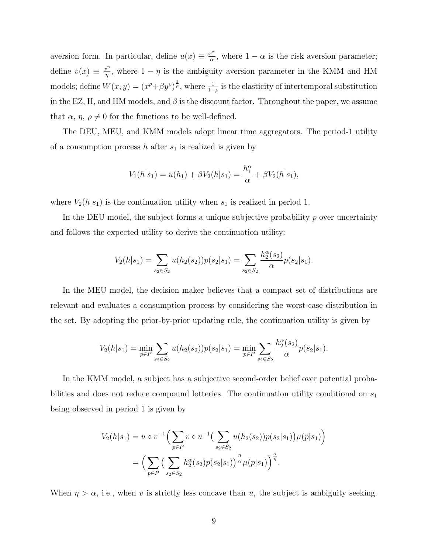aversion form. In particular, define  $u(x) \equiv \frac{x^{\alpha}}{\alpha}$  $\frac{e^{\alpha}}{\alpha}$ , where  $1 - \alpha$  is the risk aversion parameter; define  $v(x) \equiv \frac{x^{\eta}}{n}$  $\frac{\partial^{n}}{\partial \eta}$ , where  $1 - \eta$  is the ambiguity aversion parameter in the KMM and HM models; define  $W(x, y) = (x^{\rho} + \beta y^{\rho})^{\frac{1}{\rho}}$ , where  $\frac{1}{1-\rho}$  is the elasticity of intertemporal substitution in the EZ, H, and HM models, and  $\beta$  is the discount factor. Throughout the paper, we assume that  $\alpha$ ,  $\eta$ ,  $\rho \neq 0$  for the functions to be well-defined.

The DEU, MEU, and KMM models adopt linear time aggregators. The period-1 utility of a consumption process  $h$  after  $s_1$  is realized is given by

$$
V_1(h|s_1) = u(h_1) + \beta V_2(h|s_1) = \frac{h_1^{\alpha}}{\alpha} + \beta V_2(h|s_1),
$$

where  $V_2(h|s_1)$  is the continuation utility when  $s_1$  is realized in period 1.

In the DEU model, the subject forms a unique subjective probability  $p$  over uncertainty and follows the expected utility to derive the continuation utility:

$$
V_2(h|s_1) = \sum_{s_2 \in S_2} u(h_2(s_2))p(s_2|s_1) = \sum_{s_2 \in S_2} \frac{h_2^{\alpha}(s_2)}{\alpha} p(s_2|s_1).
$$

In the MEU model, the decision maker believes that a compact set of distributions are relevant and evaluates a consumption process by considering the worst-case distribution in the set. By adopting the prior-by-prior updating rule, the continuation utility is given by

$$
V_2(h|s_1) = \min_{p \in P} \sum_{s_2 \in S_2} u(h_2(s_2))p(s_2|s_1) = \min_{p \in P} \sum_{s_2 \in S_2} \frac{h_2^{\alpha}(s_2)}{\alpha} p(s_2|s_1).
$$

In the KMM model, a subject has a subjective second-order belief over potential probabilities and does not reduce compound lotteries. The continuation utility conditional on  $s_1$ being observed in period 1 is given by

$$
V_2(h|s_1) = u \circ v^{-1} \Big( \sum_{p \in P} v \circ u^{-1} \Big( \sum_{s_2 \in S_2} u(h_2(s_2)) p(s_2|s_1) \Big) \mu(p|s_1) \Big)
$$
  
= 
$$
\Big( \sum_{p \in P} \Big( \sum_{s_2 \in S_2} h_2^{\alpha}(s_2) p(s_2|s_1) \Big)^{\frac{\eta}{\alpha}} \mu(p|s_1) \Big)^{\frac{\alpha}{\eta}}.
$$

When  $\eta > \alpha$ , i.e., when v is strictly less concave than u, the subject is ambiguity seeking.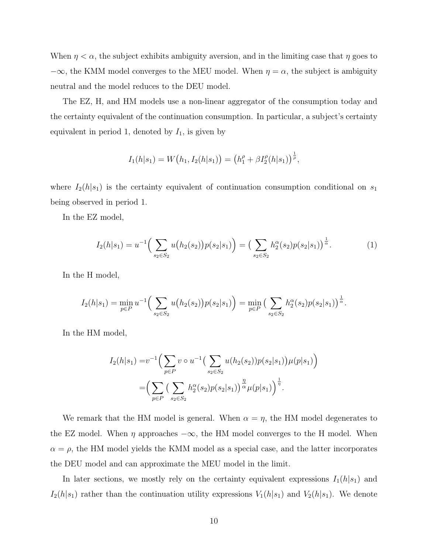When  $\eta < \alpha$ , the subject exhibits ambiguity aversion, and in the limiting case that  $\eta$  goes to  $-\infty$ , the KMM model converges to the MEU model. When  $\eta = \alpha$ , the subject is ambiguity neutral and the model reduces to the DEU model.

The EZ, H, and HM models use a non-linear aggregator of the consumption today and the certainty equivalent of the continuation consumption. In particular, a subject's certainty equivalent in period 1, denoted by  $I_1$ , is given by

$$
I_1(h|s_1) = W(h_1, I_2(h|s_1)) = (h_1^{\rho} + \beta I_2^{\rho}(h|s_1))^{\frac{1}{\rho}},
$$

where  $I_2(h|s_1)$  is the certainty equivalent of continuation consumption conditional on  $s_1$ being observed in period 1.

In the EZ model,

<span id="page-10-0"></span>
$$
I_2(h|s_1) = u^{-1}\Big(\sum_{s_2 \in S_2} u(h_2(s_2))p(s_2|s_1)\Big) = \Big(\sum_{s_2 \in S_2} h_2^{\alpha}(s_2)p(s_2|s_1)\Big)^{\frac{1}{\alpha}}.\tag{1}
$$

In the H model,

$$
I_2(h|s_1) = \min_{p \in P} u^{-1} \Big( \sum_{s_2 \in S_2} u(h_2(s_2)) p(s_2|s_1) \Big) = \min_{p \in P} \Big( \sum_{s_2 \in S_2} h_2^{\alpha}(s_2) p(s_2|s_1) \Big)^{\frac{1}{\alpha}}.
$$

In the HM model,

$$
I_2(h|s_1) = v^{-1} \Big( \sum_{p \in P} v \circ u^{-1} \Big( \sum_{s_2 \in S_2} u(h_2(s_2)) p(s_2|s_1) \Big) \mu(p|s_1) \Big)
$$
  
= 
$$
\Big( \sum_{p \in P} \Big( \sum_{s_2 \in S_2} h_2^{\alpha}(s_2) p(s_2|s_1) \Big)^{\frac{\eta}{\alpha}} \mu(p|s_1) \Big)^{\frac{1}{\eta}}.
$$

We remark that the HM model is general. When  $\alpha = \eta$ , the HM model degenerates to the EZ model. When  $\eta$  approaches  $-\infty$ , the HM model converges to the H model. When  $\alpha = \rho$ , the HM model yields the KMM model as a special case, and the latter incorporates the DEU model and can approximate the MEU model in the limit.

In later sections, we mostly rely on the certainty equivalent expressions  $I_1(h|s_1)$  and  $I_2(h|s_1)$  rather than the continuation utility expressions  $V_1(h|s_1)$  and  $V_2(h|s_1)$ . We denote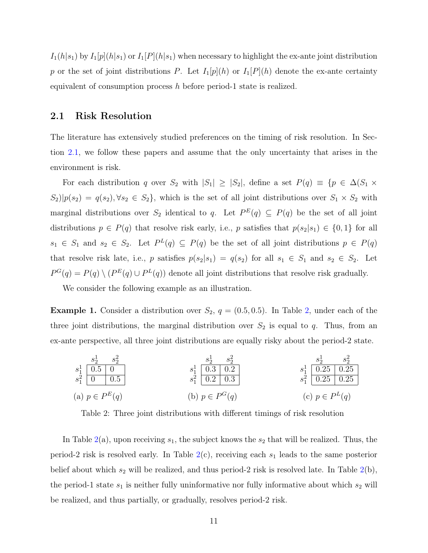$I_1(h|s_1)$  by  $I_1[p](h|s_1)$  or  $I_1[P](h|s_1)$  when necessary to highlight the ex-ante joint distribution p or the set of joint distributions P. Let  $I_1[p](h)$  or  $I_1[P](h)$  denote the ex-ante certainty equivalent of consumption process  $h$  before period-1 state is realized.

#### <span id="page-11-0"></span>2.1 Risk Resolution

The literature has extensively studied preferences on the timing of risk resolution. In Section [2.1,](#page-11-0) we follow these papers and assume that the only uncertainty that arises in the environment is risk.

For each distribution q over  $S_2$  with  $|S_1| \geq |S_2|$ , define a set  $P(q) \equiv \{p \in \Delta(S_1 \times$  $S_2||p(s_2) = q(s_2), \forall s_2 \in S_2$ , which is the set of all joint distributions over  $S_1 \times S_2$  with marginal distributions over  $S_2$  identical to q. Let  $P^{E}(q) \subseteq P(q)$  be the set of all joint distributions  $p \in P(q)$  that resolve risk early, i.e., p satisfies that  $p(s_2|s_1) \in \{0,1\}$  for all  $s_1 \in S_1$  and  $s_2 \in S_2$ . Let  $P^L(q) \subseteq P(q)$  be the set of all joint distributions  $p \in P(q)$ that resolve risk late, i.e., p satisfies  $p(s_2|s_1) = q(s_2)$  for all  $s_1 \in S_1$  and  $s_2 \in S_2$ . Let  $P^{G}(q) = P(q) \setminus (P^{E}(q) \cup P^{L}(q))$  denote all joint distributions that resolve risk gradually.

We consider the following example as an illustration.

**Example 1.** Consider a distribution over  $S_2$ ,  $q = (0.5, 0.5)$ . In Table [2,](#page-11-1) under each of the three joint distributions, the marginal distribution over  $S_2$  is equal to q. Thus, from an ex-ante perspective, all three joint distributions are equally risky about the period-2 state.

<span id="page-11-1"></span>

| $s_1^1$ | $s_2^2$ | $s_2^2$ | $s_1^1$ | $s_2^2$ | $s_2^2$ |
|---------|---------|---------|---------|---------|---------|
| $s_1^1$ | $0.5$   | $0$     | $s_1^1$ | $0.3$   | $0.2$   |
| $s_1^2$ | $0.2$   | $0.3$   | $0.2$   |         |         |
| $s_1^2$ | $0.25$  | $0.25$  |         |         |         |
| $s_1^2$ | $0.25$  | $0.25$  |         |         |         |
| $s_1^2$ | $0.25$  | $0.25$  |         |         |         |
| $s_1^2$ | $0.25$  | $0.25$  |         |         |         |
| $s_1^2$ | $0.25$  | $0.25$  |         |         |         |
| $s_1^2$ | $0.25$  | $0.25$  |         |         |         |

\n(a)  $p \in P^E(q)$ 

\n(b)  $p \in P^G(q)$ 

\n(c)  $p \in P^L(q)$ 

Table 2: Three joint distributions with different timings of risk resolution

In Table [2\(](#page-11-1)a), upon receiving  $s_1$ , the subject knows the  $s_2$  that will be realized. Thus, the period-2 risk is resolved early. In Table  $2(c)$  $2(c)$ , receiving each  $s_1$  leads to the same posterior belief about which  $s_2$  will be realized, and thus period-2 risk is resolved late. In Table  $2(b)$  $2(b)$ , the period-1 state  $s_1$  is neither fully uninformative nor fully informative about which  $s_2$  will be realized, and thus partially, or gradually, resolves period-2 risk.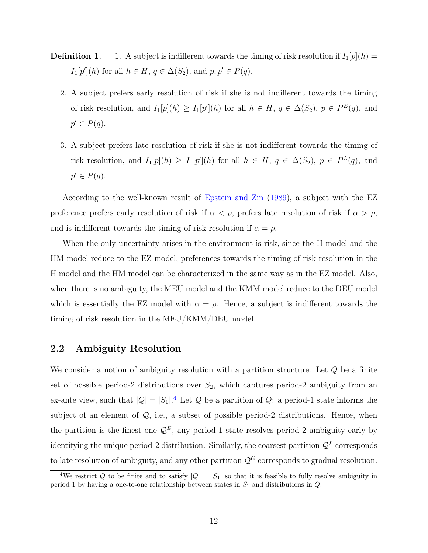- **Definition 1.** 1. A subject is indifferent towards the timing of risk resolution if  $I_1[p](h)$  =  $I_1[p'](h)$  for all  $h \in H$ ,  $q \in \Delta(S_2)$ , and  $p, p' \in P(q)$ .
	- 2. A subject prefers early resolution of risk if she is not indifferent towards the timing of risk resolution, and  $I_1[p](h) \geq I_1[p'](h)$  for all  $h \in H$ ,  $q \in \Delta(S_2)$ ,  $p \in P^E(q)$ , and  $p' \in P(q)$ .
	- 3. A subject prefers late resolution of risk if she is not indifferent towards the timing of risk resolution, and  $I_1[p](h) \geq I_1[p'](h)$  for all  $h \in H$ ,  $q \in \Delta(S_2)$ ,  $p \in P^L(q)$ , and  $p' \in P(q)$ .

According to the well-known result of [Epstein and Zin](#page-35-0) [\(1989\)](#page-35-0), a subject with the EZ preference prefers early resolution of risk if  $\alpha < \rho$ , prefers late resolution of risk if  $\alpha > \rho$ , and is indifferent towards the timing of risk resolution if  $\alpha = \rho$ .

When the only uncertainty arises in the environment is risk, since the H model and the HM model reduce to the EZ model, preferences towards the timing of risk resolution in the H model and the HM model can be characterized in the same way as in the EZ model. Also, when there is no ambiguity, the MEU model and the KMM model reduce to the DEU model which is essentially the EZ model with  $\alpha = \rho$ . Hence, a subject is indifferent towards the timing of risk resolution in the MEU/KMM/DEU model.

#### 2.2 Ambiguity Resolution

We consider a notion of ambiguity resolution with a partition structure. Let  $Q$  be a finite set of possible period-2 distributions over  $S_2$ , which captures period-2 ambiguity from an ex-ante view, such that  $|Q| = |S_1|$ .<sup>[4](#page-12-0)</sup> Let Q be a partition of Q: a period-1 state informs the subject of an element of  $Q$ , i.e., a subset of possible period-2 distributions. Hence, when the partition is the finest one  $\mathcal{Q}^E$ , any period-1 state resolves period-2 ambiguity early by identifying the unique period-2 distribution. Similarly, the coarsest partition  $\mathcal{Q}^L$  corresponds to late resolution of ambiguity, and any other partition  $\mathcal{Q}^G$  corresponds to gradual resolution.

<span id="page-12-0"></span><sup>&</sup>lt;sup>4</sup>We restrict Q to be finite and to satisfy  $|Q| = |S_1|$  so that it is feasible to fully resolve ambiguity in period 1 by having a one-to-one relationship between states in  $S_1$  and distributions in  $Q$ .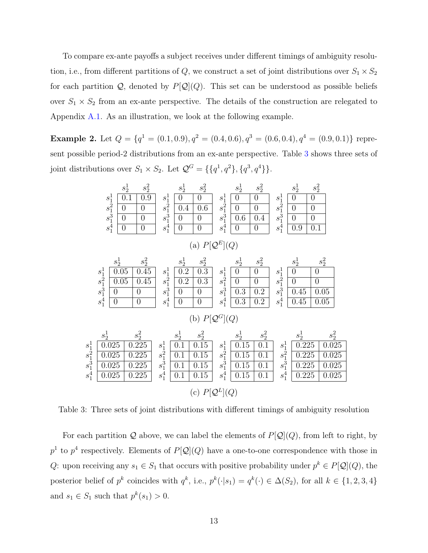To compare ex-ante payoffs a subject receives under different timings of ambiguity resolution, i.e., from different partitions of Q, we construct a set of joint distributions over  $S_1 \times S_2$ for each partition  $Q$ , denoted by  $P[Q](Q)$ . This set can be understood as possible beliefs over  $S_1 \times S_2$  from an ex-ante perspective. The details of the construction are relegated to Appendix [A.1.](#page-38-0) As an illustration, we look at the following example.

**Example 2.** Let  $Q = \{q^1 = (0.1, 0.9), q^2 = (0.4, 0.6), q^3 = (0.6, 0.4), q^4 = (0.9, 0.1)\}\$  represent possible period-2 distributions from an ex-ante perspective. Table [3](#page-13-0) shows three sets of joint distributions over  $S_1 \times S_2$ . Let  $\mathcal{Q}^G = \{\{q^1, q^2\}, \{q^3, q^4\}\}\.$ 

<span id="page-13-0"></span>

|                               |                                     | $s_2^1$<br>$s_1^1$<br>$s_1^{\frac{1}{2}}$<br>$\overline{0}$<br>$\overline{0}$<br>$s_1^{\overline{4}}$<br>$\boldsymbol{0}$ | $s_2^2$<br>$\overline{0.9}$<br>0.1<br>$\boldsymbol{0}$<br>$\overline{0}$<br>$\overline{0}$ | $s^1_1$<br>$s_1^{\bar{2}}\ s_1^{\bar{3}}$<br>$s_1^{\bar{4}}$ | $s_2^1$<br>$\overline{0}$<br>0.4<br>$\overline{0}$<br>$\overline{0}$ | $s_2^2$<br>$\overline{0}$<br>0.6<br>$\overline{0}$<br>$\overline{0}$      | $s_1^1$<br>$s_1^{\bar{2}}\ s_1^{\bar{3}}$<br>$s_1^4$ | $s_2^1$<br>$\boldsymbol{0}$<br>$\overline{0}$<br>$0.6\,$<br>$\overline{0}$ | $s_2^2$<br>$\overline{0}$<br>$\overline{0}$<br>0.4<br>$\overline{0}$ | $s_1^1$<br>$s_1^2$<br>$s_1^3$<br>$s_1^4$                | $s_2^1$<br>$\overline{0}$<br>$\boldsymbol{0}$<br>$\overline{0}$<br>0.9 | $s_2^2$<br>$\overline{0}$<br>$\overline{0}$<br>$\overline{0}$<br>0.1 |                                    |
|-------------------------------|-------------------------------------|---------------------------------------------------------------------------------------------------------------------------|--------------------------------------------------------------------------------------------|--------------------------------------------------------------|----------------------------------------------------------------------|---------------------------------------------------------------------------|------------------------------------------------------|----------------------------------------------------------------------------|----------------------------------------------------------------------|---------------------------------------------------------|------------------------------------------------------------------------|----------------------------------------------------------------------|------------------------------------|
|                               |                                     |                                                                                                                           |                                                                                            |                                                              |                                                                      | (a) $P[\mathcal{Q}^E](Q)$                                                 |                                                      |                                                                            |                                                                      |                                                         |                                                                        |                                                                      |                                    |
|                               | $s^1_{1} s^2_{1} \ s^3_{1} s^4_{1}$ | $s_2^1$<br>0.05<br>0.05<br>$\overline{0}$<br>$\boldsymbol{0}$                                                             | $s_2^2$<br>0.45<br>0.45<br>$\overline{0}$<br>$\overline{0}$                                | $s^1_1$<br>$s_1^2$<br>$s_1^3$<br>$s_1^4$                     | $s_2^1$<br>0.2<br>0.2<br>$\overline{0}$<br>$\overline{0}$            | $s_2^2$<br>$\overline{0.3}$<br>0.3<br>$\overline{0}$<br>$\overline{0}$    | $s_1^1$<br>$s_1^{\bar{2}}\ s_1^{\bar{3}}$<br>$s_1^4$ | $s_2^1$<br>$\overline{0}$<br>$\overline{0}$<br>0.3<br>0.3                  | $s_2^2$<br>$\theta$<br>$\overline{0}$<br>0.2<br>0.2                  | $s^1_1$<br>$s_1^{\bar{2}}$<br>$s_1^{\bar 3}$<br>$s_1^4$ | $s^1_2$<br>$\theta$<br>$\overline{0}$<br>0.45<br>0.45                  | $s_2^2$<br>$\boldsymbol{0}$<br>$\boldsymbol{0}$<br>0.05<br>0.05      |                                    |
| $s^1_1$<br>$s_1^2$<br>$s_1^3$ | $s_2^1$                             | 0.025<br>0.025<br>0.025                                                                                                   | $s_2^2$<br>0.225<br>0.225<br>0.225                                                         | $s^1_1$<br>$s_1^2$<br>$s_1^3$                                | $s_2^1$<br>0.1<br>0.1<br>0.1                                         | (b) $P[\mathcal{Q}^G](Q)$<br>$s_2^2$<br>$\overline{0.15}$<br>0.15<br>0.15 | $s^1_1$<br>$s_1^{\bar{2}}$<br>$s_1^{\bar{3}}$        | $s^1_2$<br>0.15<br>0.15<br>0.15                                            | $s_2^2$<br>$\overline{0.1}$<br>0.1<br>0.1                            | $s^1_1$<br>$s_1^2$<br>$s_1^{\bar{3}}$                   | $s^1_2$<br>0.225<br>0.225<br>0.225                                     |                                                                      | $s_2^2$<br>0.025<br>0.025<br>0.025 |
| $s_1^4$                       |                                     | 0.025                                                                                                                     | 0.225                                                                                      | $s_1^4$                                                      | 0.1                                                                  | 0.15<br>(c)                                                               | $s_1^4$<br>$P[Q^L](Q)$                               | 0.15                                                                       | 0.1                                                                  | $s_1^4$                                                 | 0.225                                                                  |                                                                      | 0.025                              |

Table 3: Three sets of joint distributions with different timings of ambiguity resolution

For each partition Q above, we can label the elements of  $P[Q](Q)$ , from left to right, by  $p<sup>1</sup>$  to  $p<sup>4</sup>$  respectively. Elements of  $P[Q](Q)$  have a one-to-one correspondence with those in Q: upon receiving any  $s_1 \in S_1$  that occurs with positive probability under  $p^k \in P[Q](Q)$ , the posterior belief of  $p^k$  coincides with  $q^k$ , i.e.,  $p^k(\cdot|s_1) = q^k(\cdot) \in \Delta(S_2)$ , for all  $k \in \{1, 2, 3, 4\}$ and  $s_1 \in S_1$  such that  $p^k(s_1) > 0$ .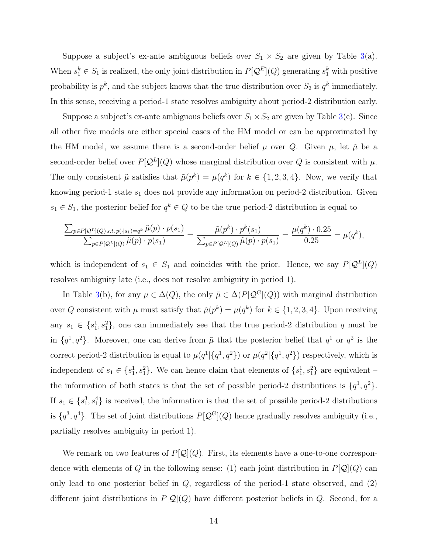Suppose a subject's ex-ante ambiguous beliefs over  $S_1 \times S_2$  are given by Table [3\(](#page-13-0)a). When  $s_1^k \in S_1$  is realized, the only joint distribution in  $P[\mathcal{Q}^E](Q)$  generating  $s_1^k$  with positive probability is  $p^k$ , and the subject knows that the true distribution over  $S_2$  is  $q^k$  immediately. In this sense, receiving a period-1 state resolves ambiguity about period-2 distribution early.

Suppose a subject's ex-ante ambiguous beliefs over  $S_1 \times S_2$  are given by Table [3\(](#page-13-0)c). Since all other five models are either special cases of the HM model or can be approximated by the HM model, we assume there is a second-order belief  $\mu$  over Q. Given  $\mu$ , let  $\tilde{\mu}$  be a second-order belief over  $P[Q^L](Q)$  whose marginal distribution over Q is consistent with  $\mu$ . The only consistent  $\tilde{\mu}$  satisfies that  $\tilde{\mu}(p^k) = \mu(q^k)$  for  $k \in \{1, 2, 3, 4\}$ . Now, we verify that knowing period-1 state  $s_1$  does not provide any information on period-2 distribution. Given  $s_1 \in S_1$ , the posterior belief for  $q^k \in Q$  to be the true period-2 distribution is equal to

$$
\frac{\sum_{p \in P[Q^L](Q) \ s.t. p(\cdot|s_1) = q^k} \tilde{\mu}(p) \cdot p(s_1)}{\sum_{p \in P[Q^L](Q)} \tilde{\mu}(p) \cdot p(s_1)} = \frac{\tilde{\mu}(p^k) \cdot p^k(s_1)}{\sum_{p \in P[Q^L](Q)} \tilde{\mu}(p) \cdot p(s_1)} = \frac{\mu(q^k) \cdot 0.25}{0.25} = \mu(q^k),
$$

which is independent of  $s_1 \in S_1$  and coincides with the prior. Hence, we say  $P[\mathcal{Q}^L](Q)$ resolves ambiguity late (i.e., does not resolve ambiguity in period 1).

In Table [3\(](#page-13-0)b), for any  $\mu \in \Delta(Q)$ , the only  $\tilde{\mu} \in \Delta(P[\mathcal{Q}^G](Q))$  with marginal distribution over Q consistent with  $\mu$  must satisfy that  $\tilde{\mu}(p^k) = \mu(q^k)$  for  $k \in \{1, 2, 3, 4\}$ . Upon receiving any  $s_1 \in \{s_1^1, s_1^2\}$ , one can immediately see that the true period-2 distribution q must be in  $\{q^1, q^2\}$ . Moreover, one can derive from  $\tilde{\mu}$  that the posterior belief that  $q^1$  or  $q^2$  is the correct period-2 distribution is equal to  $\mu(q^1|\{q^1,q^2\})$  or  $\mu(q^2|\{q^1,q^2\})$  respectively, which is independent of  $s_1 \in \{s_1^1, s_1^2\}$ . We can hence claim that elements of  $\{s_1^1, s_1^2\}$  are equivalent – the information of both states is that the set of possible period-2 distributions is  $\{q^1, q^2\}$ . If  $s_1 \in \{s_1^3, s_1^4\}$  is received, the information is that the set of possible period-2 distributions is  $\{q^3, q^4\}$ . The set of joint distributions  $P[Q^G](Q)$  hence gradually resolves ambiguity (i.e., partially resolves ambiguity in period 1).

We remark on two features of  $P[Q](Q)$ . First, its elements have a one-to-one correspondence with elements of Q in the following sense: (1) each joint distribution in  $P[\mathcal{Q}](Q)$  can only lead to one posterior belief in  $Q$ , regardless of the period-1 state observed, and  $(2)$ different joint distributions in  $P[Q](Q)$  have different posterior beliefs in Q. Second, for a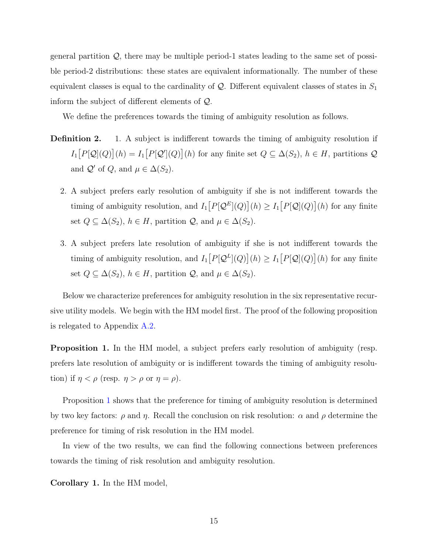general partition  $Q$ , there may be multiple period-1 states leading to the same set of possible period-2 distributions: these states are equivalent informationally. The number of these equivalent classes is equal to the cardinality of  $\mathcal{Q}$ . Different equivalent classes of states in  $S_1$ inform the subject of different elements of Q.

We define the preferences towards the timing of ambiguity resolution as follows.

- **Definition 2.** 1. A subject is indifferent towards the timing of ambiguity resolution if  $I_1[P[Q](Q)](h) = I_1[P[Q'](Q)](h)$  for any finite set  $Q \subseteq \Delta(S_2)$ ,  $h \in H$ , partitions  $Q$ and  $\mathcal{Q}'$  of  $Q$ , and  $\mu \in \Delta(S_2)$ .
	- 2. A subject prefers early resolution of ambiguity if she is not indifferent towards the timing of ambiguity resolution, and  $I_1[P[Q^E](Q)](h) \geq I_1[P[Q](Q)](h)$  for any finite set  $Q \subseteq \Delta(S_2)$ ,  $h \in H$ , partition  $\mathcal{Q}$ , and  $\mu \in \Delta(S_2)$ .
	- 3. A subject prefers late resolution of ambiguity if she is not indifferent towards the timing of ambiguity resolution, and  $I_1[P[Q^L](Q)](h) \geq I_1[P[Q](Q)](h)$  for any finite set  $Q \subseteq \Delta(S_2)$ ,  $h \in H$ , partition  $\mathcal{Q}$ , and  $\mu \in \Delta(S_2)$ .

Below we characterize preferences for ambiguity resolution in the six representative recursive utility models. We begin with the HM model first. The proof of the following proposition is relegated to Appendix [A.2.](#page-39-0)

<span id="page-15-0"></span>Proposition 1. In the HM model, a subject prefers early resolution of ambiguity (resp. prefers late resolution of ambiguity or is indifferent towards the timing of ambiguity resolution) if  $\eta < \rho$  (resp.  $\eta > \rho$  or  $\eta = \rho$ ).

Proposition [1](#page-15-0) shows that the preference for timing of ambiguity resolution is determined by two key factors:  $\rho$  and  $\eta$ . Recall the conclusion on risk resolution:  $\alpha$  and  $\rho$  determine the preference for timing of risk resolution in the HM model.

In view of the two results, we can find the following connections between preferences towards the timing of risk resolution and ambiguity resolution.

<span id="page-15-1"></span>Corollary 1. In the HM model,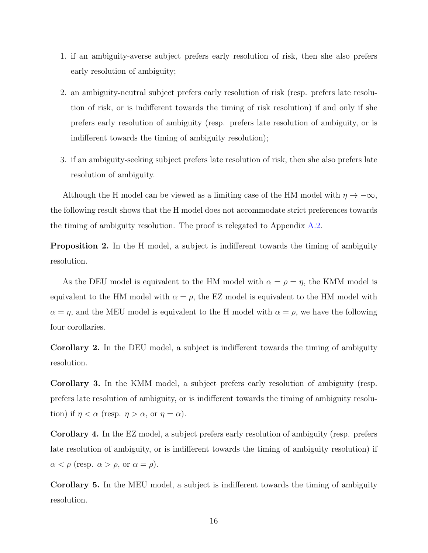- 1. if an ambiguity-averse subject prefers early resolution of risk, then she also prefers early resolution of ambiguity;
- 2. an ambiguity-neutral subject prefers early resolution of risk (resp. prefers late resolution of risk, or is indifferent towards the timing of risk resolution) if and only if she prefers early resolution of ambiguity (resp. prefers late resolution of ambiguity, or is indifferent towards the timing of ambiguity resolution);
- 3. if an ambiguity-seeking subject prefers late resolution of risk, then she also prefers late resolution of ambiguity.

Although the H model can be viewed as a limiting case of the HM model with  $\eta \to -\infty$ , the following result shows that the H model does not accommodate strict preferences towards the timing of ambiguity resolution. The proof is relegated to Appendix [A.2.](#page-39-0)

<span id="page-16-0"></span>Proposition 2. In the H model, a subject is indifferent towards the timing of ambiguity resolution.

As the DEU model is equivalent to the HM model with  $\alpha = \rho = \eta$ , the KMM model is equivalent to the HM model with  $\alpha = \rho$ , the EZ model is equivalent to the HM model with  $\alpha = \eta$ , and the MEU model is equivalent to the H model with  $\alpha = \rho$ , we have the following four corollaries.

Corollary 2. In the DEU model, a subject is indifferent towards the timing of ambiguity resolution.

Corollary 3. In the KMM model, a subject prefers early resolution of ambiguity (resp. prefers late resolution of ambiguity, or is indifferent towards the timing of ambiguity resolution) if  $\eta < \alpha$  (resp.  $\eta > \alpha$ , or  $\eta = \alpha$ ).

Corollary 4. In the EZ model, a subject prefers early resolution of ambiguity (resp. prefers late resolution of ambiguity, or is indifferent towards the timing of ambiguity resolution) if  $\alpha < \rho$  (resp.  $\alpha > \rho$ , or  $\alpha = \rho$ ).

Corollary 5. In the MEU model, a subject is indifferent towards the timing of ambiguity resolution.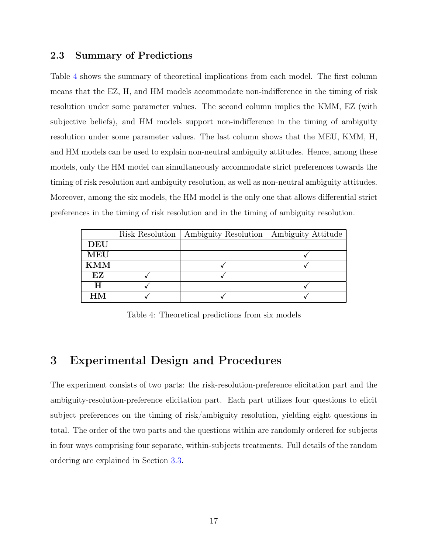#### 2.3 Summary of Predictions

Table [4](#page-17-1) shows the summary of theoretical implications from each model. The first column means that the EZ, H, and HM models accommodate non-indifference in the timing of risk resolution under some parameter values. The second column implies the KMM, EZ (with subjective beliefs), and HM models support non-indifference in the timing of ambiguity resolution under some parameter values. The last column shows that the MEU, KMM, H, and HM models can be used to explain non-neutral ambiguity attitudes. Hence, among these models, only the HM model can simultaneously accommodate strict preferences towards the timing of risk resolution and ambiguity resolution, as well as non-neutral ambiguity attitudes. Moreover, among the six models, the HM model is the only one that allows differential strict preferences in the timing of risk resolution and in the timing of ambiguity resolution.

<span id="page-17-1"></span>

|            | Risk Resolution | Ambiguity Resolution | Ambiguity Attitude |
|------------|-----------------|----------------------|--------------------|
| <b>DEU</b> |                 |                      |                    |
| MEU        |                 |                      |                    |
| KMM        |                 |                      |                    |
| EZ         |                 |                      |                    |
| H          |                 |                      |                    |
| HМ         |                 |                      |                    |

Table 4: Theoretical predictions from six models

### <span id="page-17-0"></span>3 Experimental Design and Procedures

The experiment consists of two parts: the risk-resolution-preference elicitation part and the ambiguity-resolution-preference elicitation part. Each part utilizes four questions to elicit subject preferences on the timing of risk/ambiguity resolution, yielding eight questions in total. The order of the two parts and the questions within are randomly ordered for subjects in four ways comprising four separate, within-subjects treatments. Full details of the random ordering are explained in Section [3.3.](#page-25-0)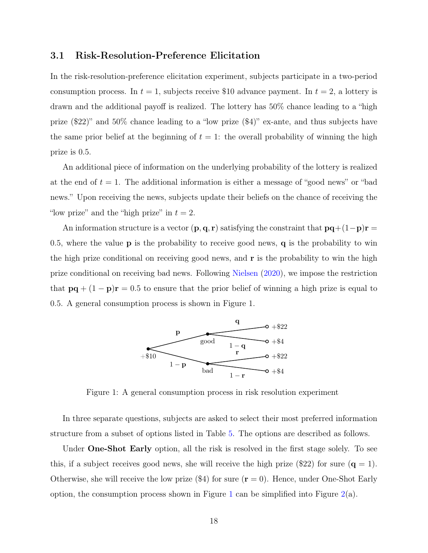#### 3.1 Risk-Resolution-Preference Elicitation

In the risk-resolution-preference elicitation experiment, subjects participate in a two-period consumption process. In  $t = 1$ , subjects receive \$10 advance payment. In  $t = 2$ , a lottery is drawn and the additional payoff is realized. The lottery has 50% chance leading to a "high prize (\$22)" and 50% chance leading to a "low prize (\$4)" ex-ante, and thus subjects have the same prior belief at the beginning of  $t = 1$ : the overall probability of winning the high prize is 0.5.

An additional piece of information on the underlying probability of the lottery is realized at the end of  $t = 1$ . The additional information is either a message of "good news" or "bad news." Upon receiving the news, subjects update their beliefs on the chance of receiving the "low prize" and the "high prize" in  $t = 2$ .

An information structure is a vector  $(\mathbf{p}, \mathbf{q}, \mathbf{r})$  satisfying the constraint that  $\mathbf{p}\mathbf{q} + (1-\mathbf{p})\mathbf{r} =$ 0.5, where the value **p** is the probability to receive good news, **q** is the probability to win the high prize conditional on receiving good news, and r is the probability to win the high prize conditional on receiving bad news. Following [Nielsen](#page-37-1) [\(2020\)](#page-37-1), we impose the restriction that  $pq + (1 - p)r = 0.5$  to ensure that the prior belief of winning a high prize is equal to 0.5. A general consumption process is shown in Figure 1.

<span id="page-18-0"></span>

Figure 1: A general consumption process in risk resolution experiment

In three separate questions, subjects are asked to select their most preferred information structure from a subset of options listed in Table [5.](#page-19-0) The options are described as follows.

Under **One-Shot Early** option, all the risk is resolved in the first stage solely. To see this, if a subject receives good news, she will receive the high prize (\$22) for sure ( $q = 1$ ). Otherwise, she will receive the low prize  $(\$4)$  for sure  $(r = 0)$ . Hence, under One-Shot Early option, the consumption process shown in Figure [1](#page-18-0) can be simplified into Figure  $2(a)$  $2(a)$ .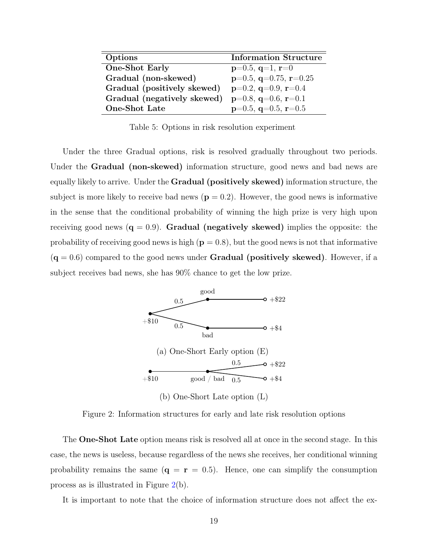<span id="page-19-0"></span>

| Options                     | <b>Information Structure</b> |
|-----------------------------|------------------------------|
| <b>One-Shot Early</b>       | $p=0.5, q=1, r=0$            |
| Gradual (non-skewed)        | $p=0.5$ , q=0.75, r=0.25     |
| Gradual (positively skewed) | $p=0.2$ , q=0.9, r=0.4       |
| Gradual (negatively skewed) | $p=0.8$ , q=0.6, r=0.1       |
| <b>One-Shot Late</b>        | $p=0.5$ , q=0.5, r=0.5       |

Table 5: Options in risk resolution experiment

Under the three Gradual options, risk is resolved gradually throughout two periods. Under the **Gradual (non-skewed)** information structure, good news and bad news are equally likely to arrive. Under the Gradual (positively skewed) information structure, the subject is more likely to receive bad news  $(p = 0.2)$ . However, the good news is informative in the sense that the conditional probability of winning the high prize is very high upon receiving good news  $(q = 0.9)$ . Gradual (negatively skewed) implies the opposite: the probability of receiving good news is high  $(p = 0.8)$ , but the good news is not that informative  $(q = 0.6)$  compared to the good news under **Gradual (positively skewed)**. However, if a subject receives bad news, she has 90% chance to get the low prize.

<span id="page-19-1"></span>

Figure 2: Information structures for early and late risk resolution options

The **One-Shot Late** option means risk is resolved all at once in the second stage. In this case, the news is useless, because regardless of the news she receives, her conditional winning probability remains the same  $(q = r = 0.5)$ . Hence, one can simplify the consumption process as is illustrated in Figure [2\(](#page-19-1)b).

It is important to note that the choice of information structure does not affect the ex-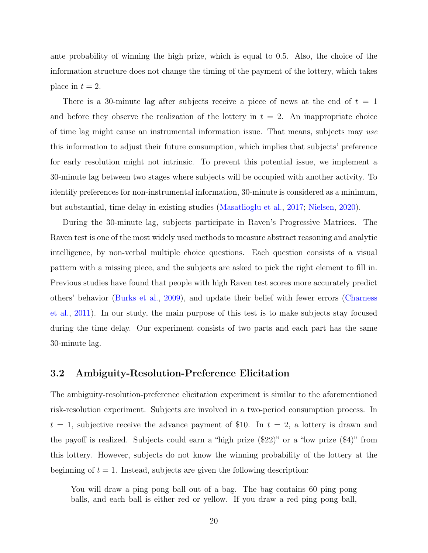ante probability of winning the high prize, which is equal to 0.5. Also, the choice of the information structure does not change the timing of the payment of the lottery, which takes place in  $t = 2$ .

There is a 30-minute lag after subjects receive a piece of news at the end of  $t = 1$ and before they observe the realization of the lottery in  $t = 2$ . An inappropriate choice of time lag might cause an instrumental information issue. That means, subjects may use this information to adjust their future consumption, which implies that subjects' preference for early resolution might not intrinsic. To prevent this potential issue, we implement a 30-minute lag between two stages where subjects will be occupied with another activity. To identify preferences for non-instrumental information, 30-minute is considered as a minimum, but substantial, time delay in existing studies [\(Masatlioglu et al.,](#page-37-5) [2017;](#page-37-5) [Nielsen,](#page-37-1) [2020\)](#page-37-1).

During the 30-minute lag, subjects participate in Raven's Progressive Matrices. The Raven test is one of the most widely used methods to measure abstract reasoning and analytic intelligence, by non-verbal multiple choice questions. Each question consists of a visual pattern with a missing piece, and the subjects are asked to pick the right element to fill in. Previous studies have found that people with high Raven test scores more accurately predict others' behavior [\(Burks et al.,](#page-34-10) [2009\)](#page-34-10), and update their belief with fewer errors [\(Charness](#page-34-11) [et al.,](#page-34-11) [2011\)](#page-34-11). In our study, the main purpose of this test is to make subjects stay focused during the time delay. Our experiment consists of two parts and each part has the same 30-minute lag.

#### 3.2 Ambiguity-Resolution-Preference Elicitation

The ambiguity-resolution-preference elicitation experiment is similar to the aforementioned risk-resolution experiment. Subjects are involved in a two-period consumption process. In  $t = 1$ , subjective receive the advance payment of \$10. In  $t = 2$ , a lottery is drawn and the payoff is realized. Subjects could earn a "high prize (\$22)" or a "low prize (\$4)" from this lottery. However, subjects do not know the winning probability of the lottery at the beginning of  $t = 1$ . Instead, subjects are given the following description:

You will draw a ping pong ball out of a bag. The bag contains 60 ping pong balls, and each ball is either red or yellow. If you draw a red ping pong ball,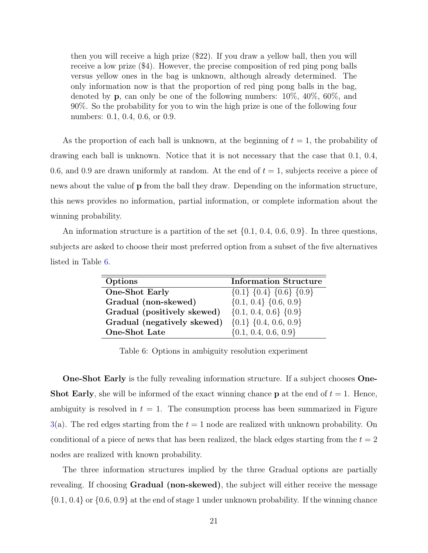then you will receive a high prize (\$22). If you draw a yellow ball, then you will receive a low prize (\$4). However, the precise composition of red ping pong balls versus yellow ones in the bag is unknown, although already determined. The only information now is that the proportion of red ping pong balls in the bag, denoted by **p**, can only be one of the following numbers:  $10\%$ ,  $40\%$ ,  $60\%$ , and 90%. So the probability for you to win the high prize is one of the following four numbers: 0.1, 0.4, 0.6, or 0.9.

As the proportion of each ball is unknown, at the beginning of  $t = 1$ , the probability of drawing each ball is unknown. Notice that it is not necessary that the case that 0.1, 0.4, 0.6, and 0.9 are drawn uniformly at random. At the end of  $t = 1$ , subjects receive a piece of news about the value of p from the ball they draw. Depending on the information structure, this news provides no information, partial information, or complete information about the winning probability.

<span id="page-21-0"></span>An information structure is a partition of the set  $\{0.1, 0.4, 0.6, 0.9\}$ . In three questions, subjects are asked to choose their most preferred option from a subset of the five alternatives listed in Table [6.](#page-21-0)

| Options                     | <b>Information Structure</b>            |
|-----------------------------|-----------------------------------------|
| <b>One-Shot Early</b>       | $\{0.1\}$ $\{0.4\}$ $\{0.6\}$ $\{0.9\}$ |
| Gradual (non-skewed)        | $\{0.1, 0.4\}$ $\{0.6, 0.9\}$           |
| Gradual (positively skewed) | $\{0.1, 0.4, 0.6\}$ $\{0.9\}$           |
| Gradual (negatively skewed) | $\{0.1\}$ {0.4, 0.6, 0.9}               |
| One-Shot Late               | $\{0.1, 0.4, 0.6, 0.9\}$                |

Table 6: Options in ambiguity resolution experiment

One-Shot Early is the fully revealing information structure. If a subject chooses One-**Shot Early**, she will be informed of the exact winning chance **p** at the end of  $t = 1$ . Hence, ambiguity is resolved in  $t = 1$ . The consumption process has been summarized in Figure  $3(a)$  $3(a)$ . The red edges starting from the  $t = 1$  node are realized with unknown probability. On conditional of a piece of news that has been realized, the black edges starting from the  $t = 2$ nodes are realized with known probability.

The three information structures implied by the three Gradual options are partially revealing. If choosing Gradual (non-skewed), the subject will either receive the message  $\{0.1, 0.4\}$  or  $\{0.6, 0.9\}$  at the end of stage 1 under unknown probability. If the winning chance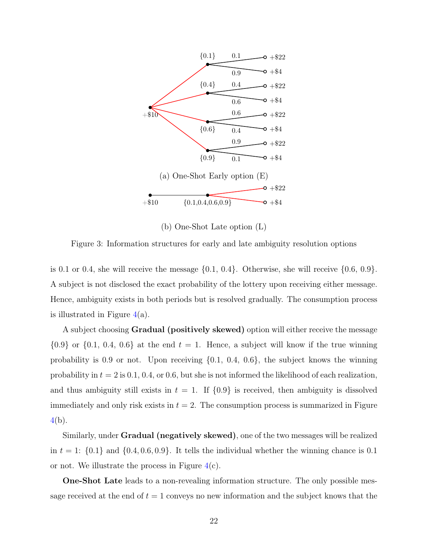<span id="page-22-0"></span>

(b) One-Shot Late option (L)

Figure 3: Information structures for early and late ambiguity resolution options

is 0.1 or 0.4, she will receive the message  $\{0.1, 0.4\}$ . Otherwise, she will receive  $\{0.6, 0.9\}$ . A subject is not disclosed the exact probability of the lottery upon receiving either message. Hence, ambiguity exists in both periods but is resolved gradually. The consumption process is illustrated in Figure  $4(a)$  $4(a)$ .

A subject choosing **Gradual (positively skewed)** option will either receive the message  ${0.9}$  or  ${0.1, 0.4, 0.6}$  at the end  $t = 1$ . Hence, a subject will know if the true winning probability is 0.9 or not. Upon receiving {0.1, 0.4, 0.6}, the subject knows the winning probability in  $t = 2$  is 0.1, 0.4, or 0.6, but she is not informed the likelihood of each realization, and thus ambiguity still exists in  $t = 1$ . If  $\{0.9\}$  is received, then ambiguity is dissolved immediately and only risk exists in  $t = 2$ . The consumption process is summarized in Figure [4\(](#page-23-0)b).

Similarly, under **Gradual (negatively skewed)**, one of the two messages will be realized in  $t = 1$ :  $\{0.1\}$  and  $\{0.4, 0.6, 0.9\}$ . It tells the individual whether the winning chance is 0.1 or not. We illustrate the process in Figure  $4(c)$  $4(c)$ .

One-Shot Late leads to a non-revealing information structure. The only possible message received at the end of  $t = 1$  conveys no new information and the subject knows that the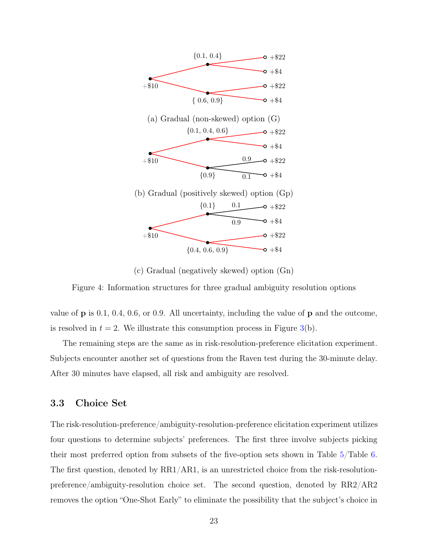<span id="page-23-0"></span>

(c) Gradual (negatively skewed) option (Gn)

Figure 4: Information structures for three gradual ambiguity resolution options

value of p is 0.1, 0.4, 0.6, or 0.9. All uncertainty, including the value of p and the outcome, is resolved in  $t = 2$ . We illustrate this consumption process in Figure [3\(](#page-22-0)b).

The remaining steps are the same as in risk-resolution-preference elicitation experiment. Subjects encounter another set of questions from the Raven test during the 30-minute delay. After 30 minutes have elapsed, all risk and ambiguity are resolved.

#### 3.3 Choice Set

The risk-resolution-preference/ambiguity-resolution-preference elicitation experiment utilizes four questions to determine subjects' preferences. The first three involve subjects picking their most preferred option from subsets of the five-option sets shown in Table [5/](#page-19-0)Table [6.](#page-21-0) The first question, denoted by RR1/AR1, is an unrestricted choice from the risk-resolutionpreference/ambiguity-resolution choice set. The second question, denoted by RR2/AR2 removes the option "One-Shot Early" to eliminate the possibility that the subject's choice in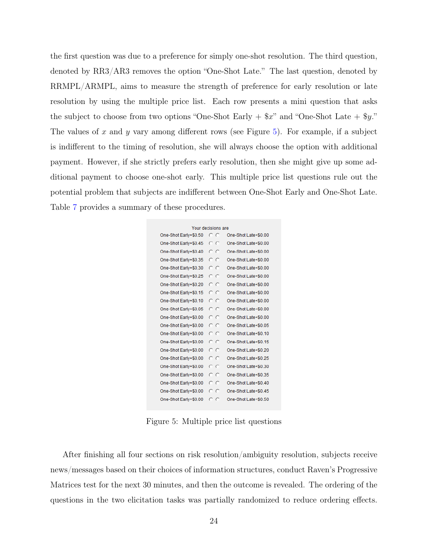the first question was due to a preference for simply one-shot resolution. The third question, denoted by RR3/AR3 removes the option "One-Shot Late." The last question, denoted by RRMPL/ARMPL, aims to measure the strength of preference for early resolution or late resolution by using the multiple price list. Each row presents a mini question that asks the subject to choose from two options "One-Shot Early  $+$  \$x" and "One-Shot Late  $+$  \$y." The values of x and y vary among different rows (see Figure [5\)](#page-24-0). For example, if a subject is indifferent to the timing of resolution, she will always choose the option with additional payment. However, if she strictly prefers early resolution, then she might give up some additional payment to choose one-shot early. This multiple price list questions rule out the potential problem that subjects are indifferent between One-Shot Early and One-Shot Late. Table [7](#page-25-0) provides a summary of these procedures.

<span id="page-24-0"></span>

| Your decisions are    |     |                      |  |  |  |  |
|-----------------------|-----|----------------------|--|--|--|--|
| One-Shot Early+\$0.50 | c c | One-Shot Late+\$0.00 |  |  |  |  |
| One-Shot Early+\$0.45 | c c | One-Shot Late+\$0.00 |  |  |  |  |
| One-Shot Early+\$0.40 | c c | One-Shot Late+\$0.00 |  |  |  |  |
| One-Shot Early+\$0.35 | o o | One-Shot Late+\$0.00 |  |  |  |  |
| One-Shot Early+\$0.30 | o o | One-Shot Late+\$0.00 |  |  |  |  |
| One-Shot Early+\$0.25 | o o | One-Shot Late+\$0.00 |  |  |  |  |
| One-Shot Early+\$0.20 | o o | One-Shot Late+\$0.00 |  |  |  |  |
| One-Shot Early+\$0.15 | o o | One-Shot Late+\$0.00 |  |  |  |  |
| One-Shot Early+\$0.10 | o o | One-Shot Late+\$0.00 |  |  |  |  |
| One-Shot Early+\$0.05 | o o | One-Shot Late+\$0.00 |  |  |  |  |
| One-Shot Early+\$0.00 | c c | One-Shot Late+\$0.00 |  |  |  |  |
| One-Shot Early+\$0.00 | o o | One-Shot Late+\$0.05 |  |  |  |  |
| One-Shot Early+\$0.00 | o o | One-Shot Late+\$0.10 |  |  |  |  |
| One-Shot Early+\$0.00 | o o | One-Shot Late+\$0.15 |  |  |  |  |
| One-Shot Early+\$0.00 | o o | One-Shot Late+\$0.20 |  |  |  |  |
| One-Shot Early+\$0.00 | o o | One-Shot Late+\$0.25 |  |  |  |  |
| One-Shot Early+\$0.00 | o o | One-Shot Late+\$0.30 |  |  |  |  |
| One-Shot Early+\$0.00 | o o | One-Shot Late+\$0.35 |  |  |  |  |
| One-Shot Early+\$0.00 | c c | One-Shot Late+\$0.40 |  |  |  |  |
| One-Shot Early+\$0.00 | o o | One-Shot Late+\$0.45 |  |  |  |  |
| One-Shot Early+\$0.00 | c c | One-Shot Late+\$0.50 |  |  |  |  |

Figure 5: Multiple price list questions

After finishing all four sections on risk resolution/ambiguity resolution, subjects receive news/messages based on their choices of information structures, conduct Raven's Progressive Matrices test for the next 30 minutes, and then the outcome is revealed. The ordering of the questions in the two elicitation tasks was partially randomized to reduce ordering effects.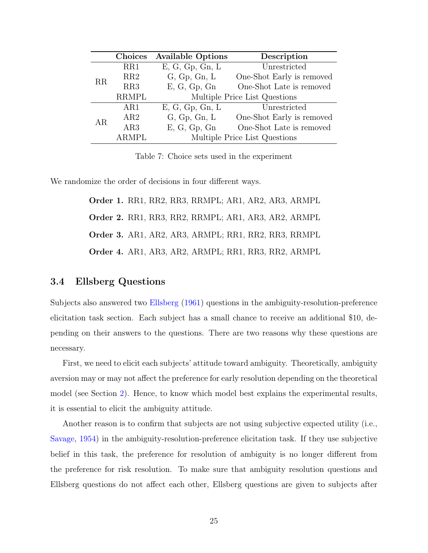<span id="page-25-0"></span>

|    | Choices         | <b>Available Options</b>      | Description                   |  |  |  |
|----|-----------------|-------------------------------|-------------------------------|--|--|--|
|    | RR1             | E, G, Gp, Gn, L               | Unrestricted                  |  |  |  |
| RR | RR2             | G, Gp, Gn, L                  | One-Shot Early is removed     |  |  |  |
|    | RR3             | E, G, Gp, Gn                  | One-Shot Late is removed      |  |  |  |
|    | <b>RRMPL</b>    | Multiple Price List Questions |                               |  |  |  |
|    | AR1             | E, G, Gp, Gn, L               | Unrestricted                  |  |  |  |
| AR | AR2             | G, Gp, Gn, L                  | One-Shot Early is removed     |  |  |  |
|    | AR <sub>3</sub> | E, G, Gp, Gn                  | One-Shot Late is removed      |  |  |  |
|    | <b>ARMPL</b>    |                               | Multiple Price List Questions |  |  |  |

Table 7: Choice sets used in the experiment

We randomize the order of decisions in four different ways.

Order 1. RR1, RR2, RR3, RRMPL; AR1, AR2, AR3, ARMPL Order 2. RR1, RR3, RR2, RRMPL; AR1, AR3, AR2, ARMPL Order 3. AR1, AR2, AR3, ARMPL; RR1, RR2, RR3, RRMPL Order 4. AR1, AR3, AR2, ARMPL; RR1, RR3, RR2, ARMPL

#### 3.4 Ellsberg Questions

Subjects also answered two [Ellsberg](#page-35-10) [\(1961\)](#page-35-10) questions in the ambiguity-resolution-preference elicitation task section. Each subject has a small chance to receive an additional \$10, depending on their answers to the questions. There are two reasons why these questions are necessary.

First, we need to elicit each subjects' attitude toward ambiguity. Theoretically, ambiguity aversion may or may not affect the preference for early resolution depending on the theoretical model (see Section [2\)](#page-7-0). Hence, to know which model best explains the experimental results, it is essential to elicit the ambiguity attitude.

Another reason is to confirm that subjects are not using subjective expected utility (i.e., [Savage,](#page-37-12) [1954\)](#page-37-12) in the ambiguity-resolution-preference elicitation task. If they use subjective belief in this task, the preference for resolution of ambiguity is no longer different from the preference for risk resolution. To make sure that ambiguity resolution questions and Ellsberg questions do not affect each other, Ellsberg questions are given to subjects after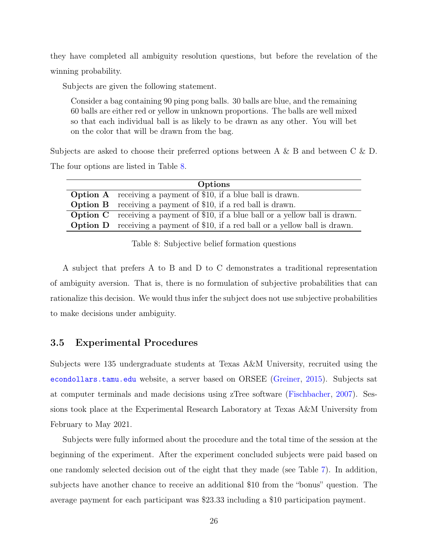they have completed all ambiguity resolution questions, but before the revelation of the winning probability.

Subjects are given the following statement.

Consider a bag containing 90 ping pong balls. 30 balls are blue, and the remaining 60 balls are either red or yellow in unknown proportions. The balls are well mixed so that each individual ball is as likely to be drawn as any other. You will bet on the color that will be drawn from the bag.

Subjects are asked to choose their preferred options between A & B and between C & D. The four options are listed in Table [8.](#page-26-0)

<span id="page-26-0"></span>

| Options |                                                                                        |  |  |  |  |
|---------|----------------------------------------------------------------------------------------|--|--|--|--|
|         | <b>Option A</b> receiving a payment of \$10, if a blue ball is drawn.                  |  |  |  |  |
|         | <b>Option B</b> receiving a payment of \$10, if a red ball is drawn.                   |  |  |  |  |
|         | <b>Option C</b> receiving a payment of \$10, if a blue ball or a yellow ball is drawn. |  |  |  |  |
|         | <b>Option D</b> receiving a payment of \$10, if a red ball or a yellow ball is drawn.  |  |  |  |  |

Table 8: Subjective belief formation questions

A subject that prefers A to B and D to C demonstrates a traditional representation of ambiguity aversion. That is, there is no formulation of subjective probabilities that can rationalize this decision. We would thus infer the subject does not use subjective probabilities to make decisions under ambiguity.

#### 3.5 Experimental Procedures

Subjects were 135 undergraduate students at Texas A&M University, recruited using the <econdollars.tamu.edu> website, a server based on ORSEE [\(Greiner,](#page-35-11) [2015\)](#page-35-11). Subjects sat at computer terminals and made decisions using zTree software [\(Fischbacher,](#page-35-12) [2007\)](#page-35-12). Sessions took place at the Experimental Research Laboratory at Texas A&M University from February to May 2021.

Subjects were fully informed about the procedure and the total time of the session at the beginning of the experiment. After the experiment concluded subjects were paid based on one randomly selected decision out of the eight that they made (see Table [7\)](#page-25-0). In addition, subjects have another chance to receive an additional \$10 from the "bonus" question. The average payment for each participant was \$23.33 including a \$10 participation payment.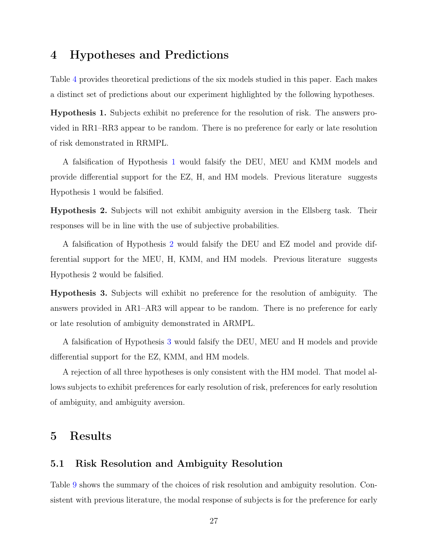# <span id="page-27-0"></span>4 Hypotheses and Predictions

Table [4](#page-17-1) provides theoretical predictions of the six models studied in this paper. Each makes a distinct set of predictions about our experiment highlighted by the following hypotheses.

<span id="page-27-2"></span>Hypothesis 1. Subjects exhibit no preference for the resolution of risk. The answers provided in RR1–RR3 appear to be random. There is no preference for early or late resolution of risk demonstrated in RRMPL.

A falsification of Hypothesis [1](#page-27-2) would falsify the DEU, MEU and KMM models and provide differential support for the EZ, H, and HM models. Previous literature suggests Hypothesis 1 would be falsified.

<span id="page-27-3"></span>Hypothesis 2. Subjects will not exhibit ambiguity aversion in the Ellsberg task. Their responses will be in line with the use of subjective probabilities.

A falsification of Hypothesis [2](#page-27-3) would falsify the DEU and EZ model and provide differential support for the MEU, H, KMM, and HM models. Previous literature suggests Hypothesis 2 would be falsified.

<span id="page-27-4"></span>Hypothesis 3. Subjects will exhibit no preference for the resolution of ambiguity. The answers provided in AR1–AR3 will appear to be random. There is no preference for early or late resolution of ambiguity demonstrated in ARMPL.

A falsification of Hypothesis [3](#page-27-4) would falsify the DEU, MEU and H models and provide differential support for the EZ, KMM, and HM models.

A rejection of all three hypotheses is only consistent with the HM model. That model allows subjects to exhibit preferences for early resolution of risk, preferences for early resolution of ambiguity, and ambiguity aversion.

### <span id="page-27-1"></span>5 Results

#### 5.1 Risk Resolution and Ambiguity Resolution

Table [9](#page-28-0) shows the summary of the choices of risk resolution and ambiguity resolution. Consistent with previous literature, the modal response of subjects is for the preference for early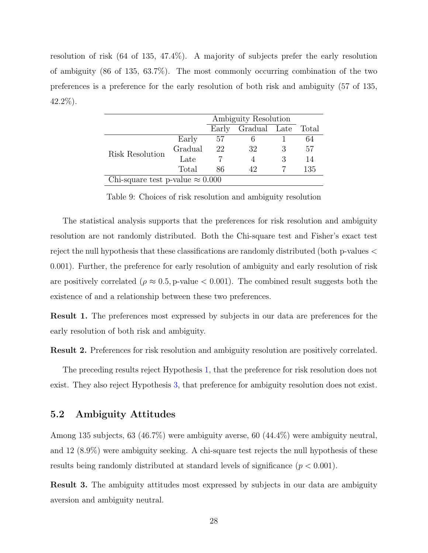resolution of risk (64 of 135, 47.4%). A majority of subjects prefer the early resolution of ambiguity (86 of 135, 63.7%). The most commonly occurring combination of the two preferences is a preference for the early resolution of both risk and ambiguity (57 of 135, 42.2%).

<span id="page-28-0"></span>

|                                         |         | Ambiguity Resolution |                    |  |     |  |  |
|-----------------------------------------|---------|----------------------|--------------------|--|-----|--|--|
|                                         |         | Early                | Gradual Late Total |  |     |  |  |
|                                         | Early   | 57                   |                    |  | 64  |  |  |
| Risk Resolution                         | Gradual | 22                   | 32                 |  | 57  |  |  |
|                                         | Late    |                      |                    |  | 14  |  |  |
|                                         | Total   | 86                   | 42                 |  | 135 |  |  |
| Chi-square test p-value $\approx 0.000$ |         |                      |                    |  |     |  |  |

Table 9: Choices of risk resolution and ambiguity resolution

The statistical analysis supports that the preferences for risk resolution and ambiguity resolution are not randomly distributed. Both the Chi-square test and Fisher's exact test reject the null hypothesis that these classifications are randomly distributed (both p-values < 0.001). Further, the preference for early resolution of ambiguity and early resolution of risk are positively correlated ( $\rho \approx 0.5$ , p-value  $< 0.001$ ). The combined result suggests both the existence of and a relationship between these two preferences.

<span id="page-28-1"></span>Result 1. The preferences most expressed by subjects in our data are preferences for the early resolution of both risk and ambiguity.

Result 2. Preferences for risk resolution and ambiguity resolution are positively correlated.

The preceding results reject Hypothesis [1,](#page-27-2) that the preference for risk resolution does not exist. They also reject Hypothesis [3,](#page-27-4) that preference for ambiguity resolution does not exist.

#### 5.2 Ambiguity Attitudes

Among 135 subjects, 63 (46.7%) were ambiguity averse, 60 (44.4%) were ambiguity neutral, and 12 (8.9%) were ambiguity seeking. A chi-square test rejects the null hypothesis of these results being randomly distributed at standard levels of significance  $(p < 0.001)$ .

<span id="page-28-2"></span>Result 3. The ambiguity attitudes most expressed by subjects in our data are ambiguity aversion and ambiguity neutral.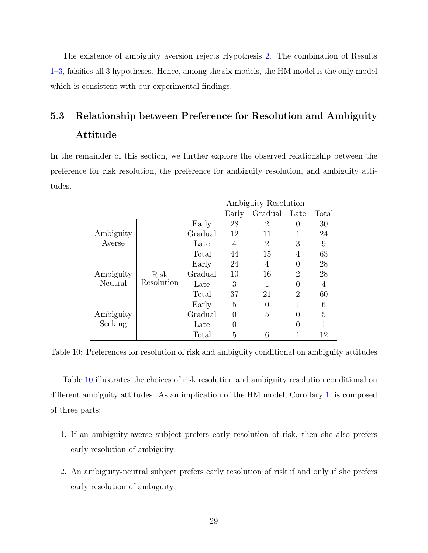The existence of ambiguity aversion rejects Hypothesis [2.](#page-27-3) The combination of Results [1–](#page-28-1)[3,](#page-28-2) falsifies all 3 hypotheses. Hence, among the six models, the HM model is the only model which is consistent with our experimental findings.

# 5.3 Relationship between Preference for Resolution and Ambiguity Attitude

<span id="page-29-0"></span>In the remainder of this section, we further explore the observed relationship between the preference for risk resolution, the preference for ambiguity resolution, and ambiguity attitudes.

|           |            |                |          | Ambiguity Resolution |                  |       |
|-----------|------------|----------------|----------|----------------------|------------------|-------|
|           |            |                | Early    | Gradual              | Late             | Total |
|           |            | Early          | 28       | 2                    | $\left( \right)$ | 30    |
| Ambiguity |            | Gradual        | 12       | 11                   |                  | 24    |
| Averse    |            | Late           | 4        | 2                    | 3                | 9     |
|           |            | Total          | 44       | 15                   | 4                | 63    |
|           |            | Early          | 24       | 4                    | $\left( \right)$ | 28    |
| Ambiguity | Risk       | Gradual        | 10       | 16                   | 2                | 28    |
| Neutral   | Resolution | 3<br>1<br>Late |          | 0                    | 4                |       |
|           |            | Total          | 37       | 21                   | 2                | 60    |
|           |            | Early          | 5        | 0                    | 1                | 6     |
| Ambiguity |            | Gradual        | $\theta$ | 5                    | 0                | 5     |
| Seeking   |            | Late           | 0        |                      | 0                | 1     |
|           |            | Total          | 5        | 6                    |                  | 12    |

Table 10: Preferences for resolution of risk and ambiguity conditional on ambiguity attitudes

Table [10](#page-29-0) illustrates the choices of risk resolution and ambiguity resolution conditional on different ambiguity attitudes. As an implication of the HM model, Corollary [1,](#page-15-1) is composed of three parts:

- 1. If an ambiguity-averse subject prefers early resolution of risk, then she also prefers early resolution of ambiguity;
- 2. An ambiguity-neutral subject prefers early resolution of risk if and only if she prefers early resolution of ambiguity;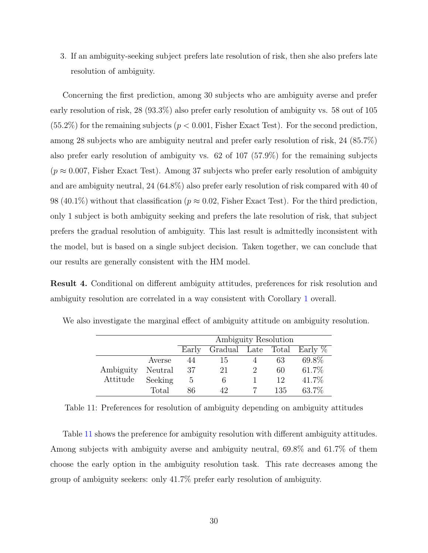3. If an ambiguity-seeking subject prefers late resolution of risk, then she also prefers late resolution of ambiguity.

Concerning the first prediction, among 30 subjects who are ambiguity averse and prefer early resolution of risk, 28 (93.3%) also prefer early resolution of ambiguity vs. 58 out of 105  $(55.2\%)$  for the remaining subjects  $(p < 0.001, F$  isher Exact Test). For the second prediction, among 28 subjects who are ambiguity neutral and prefer early resolution of risk, 24 (85.7%) also prefer early resolution of ambiguity vs. 62 of 107 (57.9%) for the remaining subjects  $(p \approx 0.007$ , Fisher Exact Test). Among 37 subjects who prefer early resolution of ambiguity and are ambiguity neutral, 24 (64.8%) also prefer early resolution of risk compared with 40 of 98 (40.1%) without that classification ( $p \approx 0.02$ , Fisher Exact Test). For the third prediction, only 1 subject is both ambiguity seeking and prefers the late resolution of risk, that subject prefers the gradual resolution of ambiguity. This last result is admittedly inconsistent with the model, but is based on a single subject decision. Taken together, we can conclude that our results are generally consistent with the HM model.

Result 4. Conditional on different ambiguity attitudes, preferences for risk resolution and ambiguity resolution are correlated in a way consistent with Corollary [1](#page-15-1) overall.

|           |         | Ambiguity Resolution |                               |  |     |       |  |  |
|-----------|---------|----------------------|-------------------------------|--|-----|-------|--|--|
|           |         | Early                | Gradual Late Total Early $\%$ |  |     |       |  |  |
|           | Averse  | 44                   | -15                           |  | 63  | 69.8% |  |  |
| Ambiguity | Neutral | 37                   | 21                            |  | 60  | 61.7% |  |  |
| Attitude  | Seeking | 5                    | 6                             |  | 19  | 41.7% |  |  |
|           | Total   | Xfi                  |                               |  | 135 | 63.7% |  |  |

<span id="page-30-0"></span>We also investigate the marginal effect of ambiguity attitude on ambiguity resolution.

Table 11: Preferences for resolution of ambiguity depending on ambiguity attitudes

Table [11](#page-30-0) shows the preference for ambiguity resolution with different ambiguity attitudes. Among subjects with ambiguity averse and ambiguity neutral, 69.8% and 61.7% of them choose the early option in the ambiguity resolution task. This rate decreases among the group of ambiguity seekers: only 41.7% prefer early resolution of ambiguity.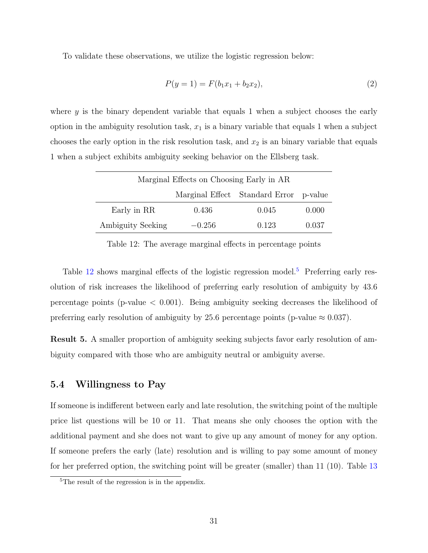To validate these observations, we utilize the logistic regression below:

<span id="page-31-2"></span>
$$
P(y=1) = F(b_1x_1 + b_2x_2), \t\t(2)
$$

where y is the binary dependent variable that equals 1 when a subject chooses the early option in the ambiguity resolution task,  $x_1$  is a binary variable that equals 1 when a subject chooses the early option in the risk resolution task, and  $x_2$  is an binary variable that equals 1 when a subject exhibits ambiguity seeking behavior on the Ellsberg task.

<span id="page-31-0"></span>

| Marginal Effects on Choosing Early in AR |          |                                        |       |  |  |  |
|------------------------------------------|----------|----------------------------------------|-------|--|--|--|
|                                          |          | Marginal Effect Standard Error p-value |       |  |  |  |
| Early in RR                              | 0.436    | 0.045                                  | 0.000 |  |  |  |
| Ambiguity Seeking                        | $-0.256$ | 0.123                                  | 0.037 |  |  |  |

Table 12: The average marginal effects in percentage points

Table [12](#page-31-0) shows marginal effects of the logistic regression model.<sup>[5](#page-31-1)</sup> Preferring early resolution of risk increases the likelihood of preferring early resolution of ambiguity by 43.6 percentage points (p-value  $< 0.001$ ). Being ambiguity seeking decreases the likelihood of preferring early resolution of ambiguity by 25.6 percentage points (p-value  $\approx 0.037$ ).

Result 5. A smaller proportion of ambiguity seeking subjects favor early resolution of ambiguity compared with those who are ambiguity neutral or ambiguity averse.

#### 5.4 Willingness to Pay

If someone is indifferent between early and late resolution, the switching point of the multiple price list questions will be 10 or 11. That means she only chooses the option with the additional payment and she does not want to give up any amount of money for any option. If someone prefers the early (late) resolution and is willing to pay some amount of money for her preferred option, the switching point will be greater (smaller) than 11 (10). Table [13](#page-32-1)

<span id="page-31-1"></span><sup>&</sup>lt;sup>5</sup>The result of the regression is in the appendix.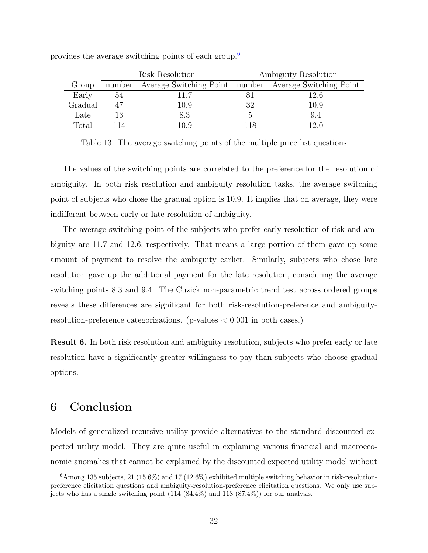|         | Risk Resolution |                                                        | Ambiguity Resolution |      |
|---------|-----------------|--------------------------------------------------------|----------------------|------|
| Group   | number          | Average Switching Point number Average Switching Point |                      |      |
| Early   | 54              | 11.7                                                   |                      | 12.6 |
| Gradual | 47              | 10.9                                                   | 32                   | 10.9 |
| Late    | 13              | 8.3                                                    | 5                    | 9.4  |
| Total   | 114             | $10.9\,$                                               | 118                  | 12.0 |

<span id="page-32-1"></span>provides the average switching points of each group.[6](#page-32-2)

Table 13: The average switching points of the multiple price list questions

The values of the switching points are correlated to the preference for the resolution of ambiguity. In both risk resolution and ambiguity resolution tasks, the average switching point of subjects who chose the gradual option is 10.9. It implies that on average, they were indifferent between early or late resolution of ambiguity.

The average switching point of the subjects who prefer early resolution of risk and ambiguity are 11.7 and 12.6, respectively. That means a large portion of them gave up some amount of payment to resolve the ambiguity earlier. Similarly, subjects who chose late resolution gave up the additional payment for the late resolution, considering the average switching points 8.3 and 9.4. The Cuzick non-parametric trend test across ordered groups reveals these differences are significant for both risk-resolution-preference and ambiguityresolution-preference categorizations. (p-values < 0.001 in both cases.)

Result 6. In both risk resolution and ambiguity resolution, subjects who prefer early or late resolution have a significantly greater willingness to pay than subjects who choose gradual options.

### <span id="page-32-0"></span>6 Conclusion

Models of generalized recursive utility provide alternatives to the standard discounted expected utility model. They are quite useful in explaining various financial and macroeconomic anomalies that cannot be explained by the discounted expected utility model without

<span id="page-32-2"></span> $6$ Among 135 subjects, 21 (15.6%) and 17 (12.6%) exhibited multiple switching behavior in risk-resolutionpreference elicitation questions and ambiguity-resolution-preference elicitation questions. We only use subjects who has a single switching point  $(114 (84.4\%)$  and  $118 (87.4\%)$  for our analysis.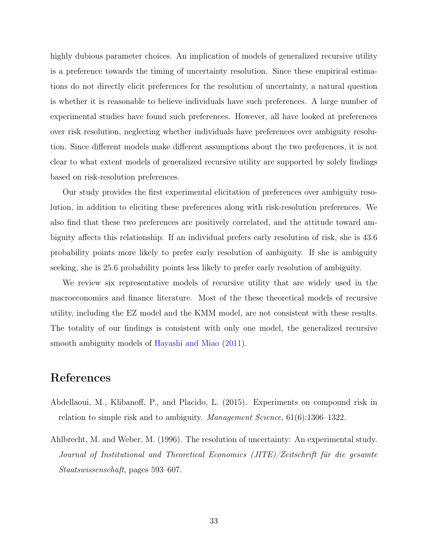highly dubious parameter choices. An implication of models of generalized recursive utility is a preference towards the timing of uncertainty resolution. Since these empirical estimations do not directly elicit preferences for the resolution of uncertainty, a natural question is whether it is reasonable to believe individuals have such preferences. A large number of experimental studies have found such preferences. However, all have looked at preferences over risk resolution, neglecting whether individuals have preferences over ambiguity resolution. Since different models make different assumptions about the two preferences, it is not clear to what extent models of generalized recursive utility are supported by solely findings based on risk-resolution preferences.

Our study provides the first experimental elicitation of preferences over ambiguity resolution, in addition to eliciting these preferences along with risk-resolution preferences. We also find that these two preferences are positively correlated, and the attitude toward ambiguity affects this relationship. If an individual prefers early resolution of risk, she is 43.6 probability points more likely to prefer early resolution of ambiguity. If she is ambiguity seeking, she is 25.6 probability points less likely to prefer early resolution of ambiguity.

We review six representative models of recursive utility that are widely used in the macroeconomics and finance literature. Most of the these theoretical models of recursive utility, including the EZ model and the KMM model, are not consistent with these results. The totality of our findings is consistent with only one model, the generalized recursive smooth ambiguity models of [Hayashi and Miao](#page-36-0) [\(2011\)](#page-36-0).

### References

- <span id="page-33-1"></span>Abdellaoui, M., Klibanoff, P., and Placido, L. (2015). Experiments on compound risk in relation to simple risk and to ambiguity. Management Science, 61(6):1306–1322.
- <span id="page-33-0"></span>Ahlbrecht, M. and Weber, M. (1996). The resolution of uncertainty: An experimental study. Journal of Institutional and Theoretical Economics (JITE)/Zeitschrift für die gesamte Staatswissenschaft, pages 593–607.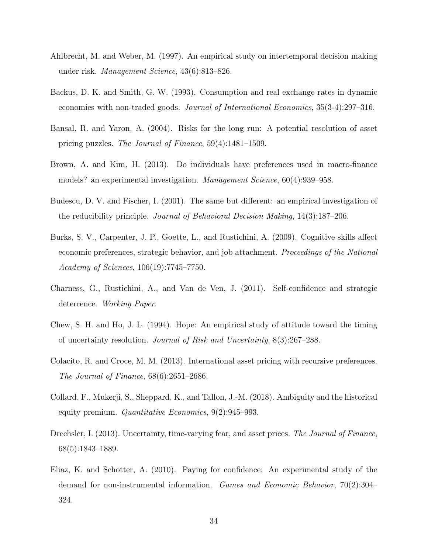- <span id="page-34-2"></span>Ahlbrecht, M. and Weber, M. (1997). An empirical study on intertemporal decision making under risk. Management Science, 43(6):813–826.
- <span id="page-34-9"></span>Backus, D. K. and Smith, G. W. (1993). Consumption and real exchange rates in dynamic economies with non-traded goods. Journal of International Economics, 35(3-4):297–316.
- <span id="page-34-5"></span>Bansal, R. and Yaron, A. (2004). Risks for the long run: A potential resolution of asset pricing puzzles. The Journal of Finance, 59(4):1481–1509.
- <span id="page-34-0"></span>Brown, A. and Kim, H. (2013). Do individuals have preferences used in macro-finance models? an experimental investigation. Management Science, 60(4):939–958.
- <span id="page-34-3"></span>Budescu, D. V. and Fischer, I. (2001). The same but different: an empirical investigation of the reducibility principle. Journal of Behavioral Decision Making, 14(3):187–206.
- <span id="page-34-10"></span>Burks, S. V., Carpenter, J. P., Goette, L., and Rustichini, A. (2009). Cognitive skills affect economic preferences, strategic behavior, and job attachment. Proceedings of the National Academy of Sciences, 106(19):7745–7750.
- <span id="page-34-11"></span>Charness, G., Rustichini, A., and Van de Ven, J. (2011). Self-confidence and strategic deterrence. Working Paper.
- <span id="page-34-1"></span>Chew, S. H. and Ho, J. L. (1994). Hope: An empirical study of attitude toward the timing of uncertainty resolution. Journal of Risk and Uncertainty, 8(3):267–288.
- <span id="page-34-8"></span>Colacito, R. and Croce, M. M. (2013). International asset pricing with recursive preferences. The Journal of Finance, 68(6):2651–2686.
- <span id="page-34-6"></span>Collard, F., Mukerji, S., Sheppard, K., and Tallon, J.-M. (2018). Ambiguity and the historical equity premium. Quantitative Economics, 9(2):945–993.
- <span id="page-34-7"></span>Drechsler, I. (2013). Uncertainty, time-varying fear, and asset prices. The Journal of Finance, 68(5):1843–1889.
- <span id="page-34-4"></span>Eliaz, K. and Schotter, A. (2010). Paying for confidence: An experimental study of the demand for non-instrumental information. Games and Economic Behavior, 70(2):304– 324.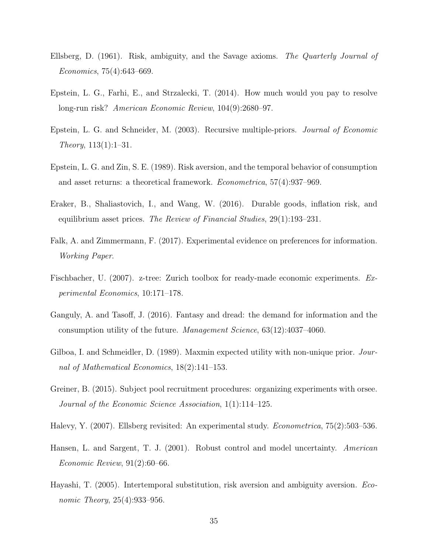- <span id="page-35-10"></span>Ellsberg, D. (1961). Risk, ambiguity, and the Savage axioms. The Quarterly Journal of Economics, 75(4):643–669.
- <span id="page-35-1"></span>Epstein, L. G., Farhi, E., and Strzalecki, T. (2014). How much would you pay to resolve long-run risk? American Economic Review, 104(9):2680–97.
- <span id="page-35-6"></span>Epstein, L. G. and Schneider, M. (2003). Recursive multiple-priors. Journal of Economic Theory,  $113(1):1-31$ .
- <span id="page-35-0"></span>Epstein, L. G. and Zin, S. E. (1989). Risk aversion, and the temporal behavior of consumption and asset returns: a theoretical framework. Econometrica, 57(4):937–969.
- <span id="page-35-8"></span>Eraker, B., Shaliastovich, I., and Wang, W. (2016). Durable goods, inflation risk, and equilibrium asset prices. The Review of Financial Studies, 29(1):193–231.
- <span id="page-35-3"></span>Falk, A. and Zimmermann, F. (2017). Experimental evidence on preferences for information. Working Paper.
- <span id="page-35-12"></span>Fischbacher, U. (2007). z-tree: Zurich toolbox for ready-made economic experiments. Experimental Economics, 10:171–178.
- <span id="page-35-2"></span>Ganguly, A. and Tasoff, J. (2016). Fantasy and dread: the demand for information and the consumption utility of the future. Management Science, 63(12):4037–4060.
- <span id="page-35-5"></span>Gilboa, I. and Schmeidler, D. (1989). Maxmin expected utility with non-unique prior. Journal of Mathematical Economics, 18(2):141–153.
- <span id="page-35-11"></span>Greiner, B. (2015). Subject pool recruitment procedures: organizing experiments with orsee. Journal of the Economic Science Association, 1(1):114–125.
- <span id="page-35-4"></span>Halevy, Y. (2007). Ellsberg revisited: An experimental study. Econometrica, 75(2):503–536.
- <span id="page-35-9"></span>Hansen, L. and Sargent, T. J. (2001). Robust control and model uncertainty. American Economic Review, 91(2):60–66.
- <span id="page-35-7"></span>Hayashi, T. (2005). Intertemporal substitution, risk aversion and ambiguity aversion. Economic Theory, 25(4):933–956.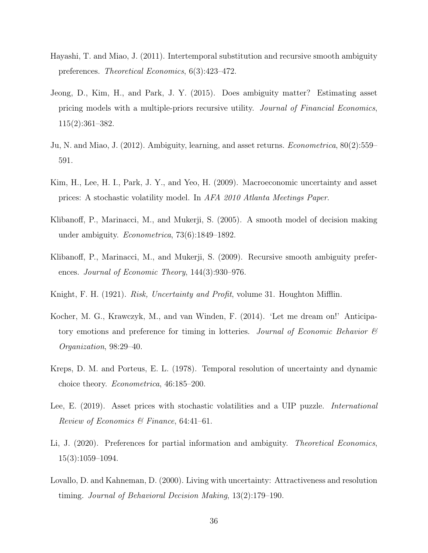- <span id="page-36-0"></span>Hayashi, T. and Miao, J. (2011). Intertemporal substitution and recursive smooth ambiguity preferences. Theoretical Economics, 6(3):423–472.
- <span id="page-36-9"></span>Jeong, D., Kim, H., and Park, J. Y. (2015). Does ambiguity matter? Estimating asset pricing models with a multiple-priors recursive utility. Journal of Financial Economics, 115(2):361–382.
- <span id="page-36-10"></span>Ju, N. and Miao, J. (2012). Ambiguity, learning, and asset returns. Econometrica, 80(2):559– 591.
- <span id="page-36-8"></span>Kim, H., Lee, H. I., Park, J. Y., and Yeo, H. (2009). Macroeconomic uncertainty and asset prices: A stochastic volatility model. In AFA 2010 Atlanta Meetings Paper.
- <span id="page-36-6"></span>Klibanoff, P., Marinacci, M., and Mukerji, S. (2005). A smooth model of decision making under ambiguity. Econometrica, 73(6):1849–1892.
- <span id="page-36-7"></span>Klibanoff, P., Marinacci, M., and Mukerji, S. (2009). Recursive smooth ambiguity preferences. Journal of Economic Theory, 144(3):930–976.
- <span id="page-36-2"></span>Knight, F. H. (1921). *Risk, Uncertainty and Profit*, volume 31. Houghton Mifflin.
- <span id="page-36-5"></span>Kocher, M. G., Krawczyk, M., and van Winden, F. (2014). 'Let me dream on!' Anticipatory emotions and preference for timing in lotteries. Journal of Economic Behavior  $\mathscr B$ Organization, 98:29–40.
- <span id="page-36-1"></span>Kreps, D. M. and Porteus, E. L. (1978). Temporal resolution of uncertainty and dynamic choice theory. Econometrica, 46:185–200.
- <span id="page-36-11"></span>Lee, E. (2019). Asset prices with stochastic volatilities and a UIP puzzle. *International* Review of Economics & Finance,  $64:41-61$ .
- <span id="page-36-3"></span>Li, J. (2020). Preferences for partial information and ambiguity. Theoretical Economics, 15(3):1059–1094.
- <span id="page-36-4"></span>Lovallo, D. and Kahneman, D. (2000). Living with uncertainty: Attractiveness and resolution timing. Journal of Behavioral Decision Making, 13(2):179–190.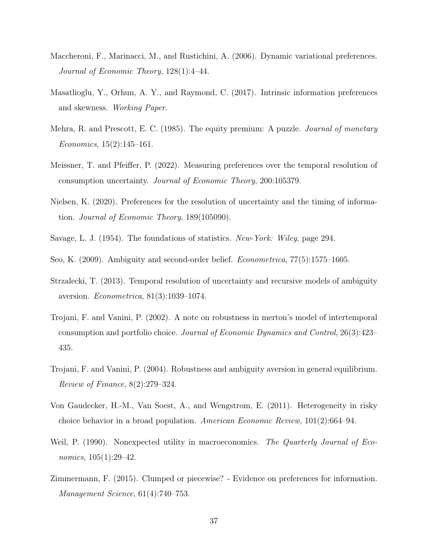- <span id="page-37-11"></span>Maccheroni, F., Marinacci, M., and Rustichini, A. (2006). Dynamic variational preferences. Journal of Economic Theory, 128(1):4–44.
- <span id="page-37-5"></span>Masatlioglu, Y., Orhun, A. Y., and Raymond, C. (2017). Intrinsic information preferences and skewness. Working Paper.
- <span id="page-37-7"></span>Mehra, R. and Prescott, E. C. (1985). The equity premium: A puzzle. *Journal of monetary* Economics, 15(2):145–161.
- <span id="page-37-6"></span>Meissner, T. and Pfeiffer, P. (2022). Measuring preferences over the temporal resolution of consumption uncertainty. Journal of Economic Theory, 200:105379.
- <span id="page-37-1"></span>Nielsen, K. (2020). Preferences for the resolution of uncertainty and the timing of information. Journal of Economic Theory, 189(105090).
- <span id="page-37-12"></span>Savage, L. J. (1954). The foundations of statistics. New-York: Wiley, page 294.
- <span id="page-37-10"></span>Seo, K. (2009). Ambiguity and second-order belief. Econometrica, 77(5):1575–1605.
- <span id="page-37-2"></span>Strzalecki, T. (2013). Temporal resolution of uncertainty and recursive models of ambiguity aversion. Econometrica, 81(3):1039–1074.
- <span id="page-37-8"></span>Trojani, F. and Vanini, P. (2002). A note on robustness in merton's model of intertemporal consumption and portfolio choice. Journal of Economic Dynamics and Control, 26(3):423– 435.
- <span id="page-37-9"></span>Trojani, F. and Vanini, P. (2004). Robustness and ambiguity aversion in general equilibrium. Review of Finance, 8(2):279–324.
- <span id="page-37-3"></span>Von Gaudecker, H.-M., Van Soest, A., and Wengstrom, E. (2011). Heterogeneity in risky choice behavior in a broad population. American Economic Review, 101(2):664–94.
- <span id="page-37-0"></span>Weil, P. (1990). Nonexpected utility in macroeconomics. The Quarterly Journal of Economics, 105(1):29–42.
- <span id="page-37-4"></span>Zimmermann, F. (2015). Clumped or piecewise? - Evidence on preferences for information. Management Science, 61(4):740–753.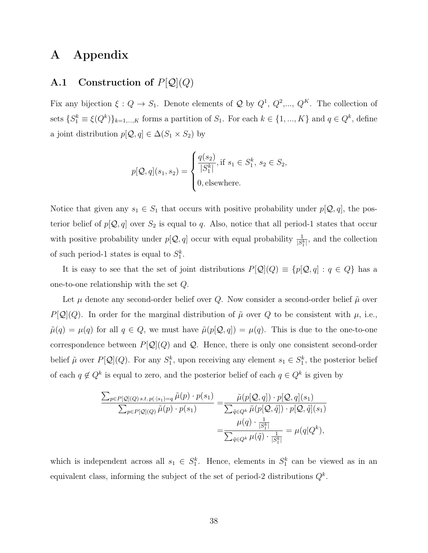# A Appendix

### <span id="page-38-0"></span>A.1 Construction of  $P[Q](Q)$

Fix any bijection  $\xi: Q \to S_1$ . Denote elements of Q by  $Q^1, Q^2, ..., Q^K$ . The collection of sets  $\{S_1^k \equiv \xi(Q^k)\}_{k=1,\dots,K}$  forms a partition of  $S_1$ . For each  $k \in \{1, ..., K\}$  and  $q \in Q^k$ , define a joint distribution  $p[Q, q] \in \Delta(S_1 \times S_2)$  by

$$
p[\mathcal{Q}, q](s_1, s_2) = \begin{cases} \frac{q(s_2)}{|S_1^k|}, \text{if } s_1 \in S_1^k, s_2 \in S_2, \\ 0, \text{elsewhere.} \end{cases}
$$

Notice that given any  $s_1 \in S_1$  that occurs with positive probability under  $p[Q, q]$ , the posterior belief of  $p[Q, q]$  over  $S_2$  is equal to q. Also, notice that all period-1 states that occur with positive probability under  $p[Q, q]$  occur with equal probability  $\frac{1}{|S_1^k|}$ , and the collection of such period-1 states is equal to  $S_1^k$ .

It is easy to see that the set of joint distributions  $P[\mathcal{Q}](Q) \equiv \{p[\mathcal{Q}, q] : q \in Q\}$  has a one-to-one relationship with the set Q.

Let  $\mu$  denote any second-order belief over Q. Now consider a second-order belief  $\tilde{\mu}$  over  $P[Q](Q)$ . In order for the marginal distribution of  $\tilde{\mu}$  over Q to be consistent with  $\mu$ , i.e.,  $\tilde{\mu}(q) = \mu(q)$  for all  $q \in Q$ , we must have  $\tilde{\mu}(p[Q, q]) = \mu(q)$ . This is due to the one-to-one correspondence between  $P[Q](Q)$  and Q. Hence, there is only one consistent second-order belief  $\tilde{\mu}$  over  $P[\mathcal{Q}](Q)$ . For any  $S_1^k$ , upon receiving any element  $s_1 \in S_1^k$ , the posterior belief of each  $q \notin Q^k$  is equal to zero, and the posterior belief of each  $q \in Q^k$  is given by

$$
\frac{\sum_{p\in P[\mathcal{Q}](Q)\,s.t.\,p(\cdot|s_1)=q}\tilde{\mu}(p)\cdot p(s_1)}{\sum_{p\in P[\mathcal{Q}](Q)}\tilde{\mu}(p)\cdot p(s_1)} = \frac{\tilde{\mu}(p[\mathcal{Q},q])\cdot p[\mathcal{Q},q](s_1)}{\sum_{\tilde{q}\in Q^k}\tilde{\mu}(p[\mathcal{Q},\tilde{q}])\cdot p[\mathcal{Q},\tilde{q}](s_1)} = \frac{\mu(q)\cdot\frac{1}{|S_1^k|}}{\sum_{\tilde{q}\in Q^k}\mu(\tilde{q})\cdot\frac{1}{|S_1^k|}} = \mu(q|Q^k),
$$

which is independent across all  $s_1 \in S_1^k$ . Hence, elements in  $S_1^k$  can be viewed as in an equivalent class, informing the subject of the set of period-2 distributions  $Q^k$ .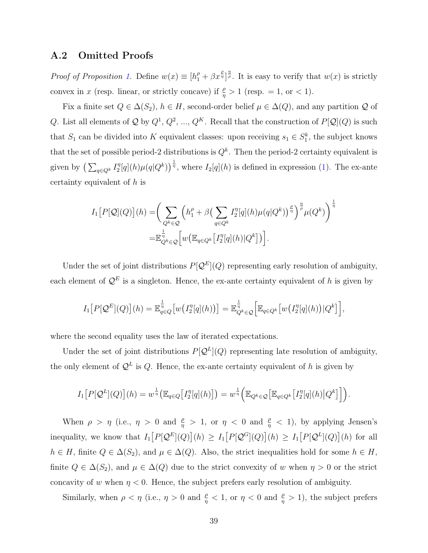#### <span id="page-39-0"></span>A.2 Omitted Proofs

*Proof of Proposition [1.](#page-15-0)* Define  $w(x) \equiv [h_1^{\rho} + \beta x^{\frac{\rho}{\eta}}]^{\frac{\eta}{\rho}}$ . It is easy to verify that  $w(x)$  is strictly convex in x (resp. linear, or strictly concave) if  $\frac{\rho}{\eta} > 1$  (resp. = 1, or < 1).

Fix a finite set  $Q \in \Delta(S_2)$ ,  $h \in H$ , second-order belief  $\mu \in \Delta(Q)$ , and any partition Q of Q. List all elements of Q by  $Q^1, Q^2, ..., Q^K$ . Recall that the construction of  $P[Q](Q)$  is such that  $S_1$  can be divided into K equivalent classes: upon receiving  $s_1 \in S_1^k$ , the subject knows that the set of possible period-2 distributions is  $Q<sup>k</sup>$ . Then the period-2 certainty equivalent is given by  $\left(\sum_{q\in Q^k} I_2^{\eta}\right)$  $\frac{\eta}{2}[q](h)\mu(q|Q^k)\big)^{\frac{1}{\eta}}$ , where  $I_2[q](h)$  is defined in expression [\(1\)](#page-10-0). The ex-ante certainty equivalent of h is

$$
I_1[P[Q](Q)](h) = \left(\sum_{Q^k \in \mathcal{Q}} \left(h_1^{\rho} + \beta \left(\sum_{q \in Q^k} I_2^{\eta}[q](h) \mu(q|Q^k)\right)^{\frac{\rho}{\eta}}\right)^{\frac{\eta}{\rho}} \mu(Q^k)\right)^{\frac{1}{\eta}}
$$

$$
= \mathbb{E}_{Q^k \in \mathcal{Q}}^{\frac{1}{\eta}} \left[w\left(\mathbb{E}_{q \in Q^k}[I_2^{\eta}[q](h)|Q^k]\right)\right].
$$

Under the set of joint distributions  $P[Q^E](Q)$  representing early resolution of ambiguity, each element of  $\mathcal{Q}^E$  is a singleton. Hence, the ex-ante certainty equivalent of h is given by

$$
I_1[P[\mathcal{Q}^E](Q)](h) = \mathbb{E}_{q \in Q}^{\frac{1}{\eta}}[w\big(I_2^{\eta}[q](h)\big)] = \mathbb{E}_{Q^k \in \mathcal{Q}}^{\frac{1}{\eta}}\Big[\mathbb{E}_{q \in Q^k}\big[w\big(I_2^{\eta}[q](h)\big)|Q^k\big]\Big],
$$

where the second equality uses the law of iterated expectations.

Under the set of joint distributions  $P[Q^L](Q)$  representing late resolution of ambiguity, the only element of  $\mathcal{Q}^L$  is Q. Hence, the ex-ante certainty equivalent of h is given by

$$
I_1[P[\mathcal{Q}^L](Q)](h) = w^{\frac{1}{\eta}} \big( \mathbb{E}_{q \in Q} \big[ I_2^{\eta}[q](h) \big] \big) = w^{\frac{1}{\eta}} \Big( \mathbb{E}_{Q^k \in \mathcal{Q}} \big[ \mathbb{E}_{q \in Q^k} \big[ I_2^{\eta}[q](h) \big| Q^k \big] \big] \Big).
$$

When  $\rho > \eta$  (i.e.,  $\eta > 0$  and  $\frac{\rho}{\eta} > 1$ , or  $\eta < 0$  and  $\frac{\rho}{\eta} < 1$ ), by applying Jensen's inequality, we know that  $I_1[P[\mathcal{Q}^E](Q)](h) \geq I_1[P[\mathcal{Q}^G](Q)](h) \geq I_1[P[\mathcal{Q}^L](Q)](h)$  for all  $h \in H$ , finite  $Q \in \Delta(S_2)$ , and  $\mu \in \Delta(Q)$ . Also, the strict inequalities hold for some  $h \in H$ , finite  $Q \in \Delta(S_2)$ , and  $\mu \in \Delta(Q)$  due to the strict convexity of w when  $\eta > 0$  or the strict concavity of w when  $\eta < 0$ . Hence, the subject prefers early resolution of ambiguity.

Similarly, when  $\rho < \eta$  (i.e.,  $\eta > 0$  and  $\frac{\rho}{\eta} < 1$ , or  $\eta < 0$  and  $\frac{\rho}{\eta} > 1$ ), the subject prefers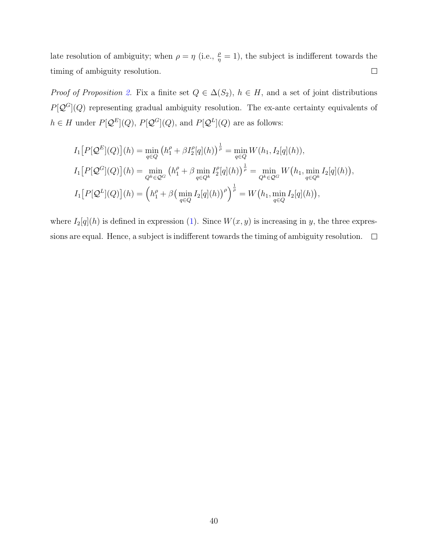late resolution of ambiguity; when  $\rho = \eta$  (i.e.,  $\frac{\rho}{\eta} = 1$ ), the subject is indifferent towards the timing of ambiguity resolution.  $\Box$ 

*Proof of Proposition [2.](#page-16-0)* Fix a finite set  $Q \in \Delta(S_2)$ ,  $h \in H$ , and a set of joint distributions  $P[\mathcal{Q}^G](Q)$  representing gradual ambiguity resolution. The ex-ante certainty equivalents of  $h \in H$  under  $P[\mathcal{Q}^E](Q)$ ,  $P[\mathcal{Q}^G](Q)$ , and  $P[\mathcal{Q}^L](Q)$  are as follows:

$$
I_1[P[Q^E](Q)](h) = \min_{q \in Q} (h_1^{\rho} + \beta I_2^{\rho}[q](h))^{\frac{1}{\rho}} = \min_{q \in Q} W(h_1, I_2[q](h)),
$$
  
\n
$$
I_1[P[Q^G](Q)](h) = \min_{Q^k \in Q^G} (h_1^{\rho} + \beta \min_{q \in Q^k} I_2^{\rho}[q](h))^{\frac{1}{\rho}} = \min_{Q^k \in Q^G} W(h_1, \min_{q \in Q^k} I_2[q](h)),
$$
  
\n
$$
I_1[P[Q^L](Q)](h) = (h_1^{\rho} + \beta (\min_{q \in Q} I_2[q](h))^{\rho})^{\frac{1}{\rho}} = W(h_1, \min_{q \in Q} I_2[q](h)),
$$

where  $I_2[q](h)$  is defined in expression [\(1\)](#page-10-0). Since  $W(x, y)$  is increasing in y, the three expressions are equal. Hence, a subject is indifferent towards the timing of ambiguity resolution.  $\Box$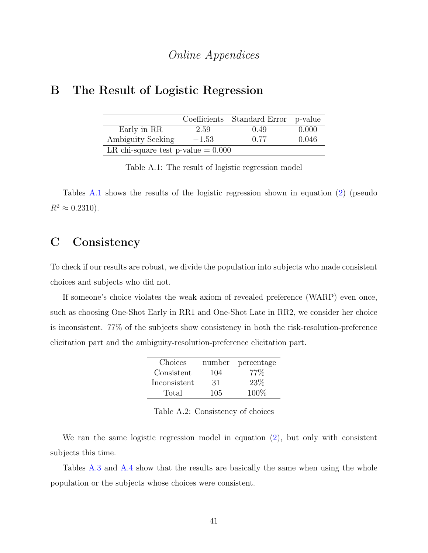## Online Appendices

## <span id="page-41-0"></span>B The Result of Logistic Regression

|                                      |         | Coefficients Standard Error p-value |       |  |
|--------------------------------------|---------|-------------------------------------|-------|--|
| Early in RR                          | 2.59    | 0.49                                | 0.000 |  |
| Ambiguity Seeking                    | $-1.53$ | 0.77                                | 0.046 |  |
| LR chi-square test p-value $= 0.000$ |         |                                     |       |  |

Table A.1: The result of logistic regression model

Tables [A.1](#page-41-0) shows the results of the logistic regression shown in equation [\(2\)](#page-31-2) (pseudo  $R^2 \approx 0.2310$ .

# C Consistency

To check if our results are robust, we divide the population into subjects who made consistent choices and subjects who did not.

If someone's choice violates the weak axiom of revealed preference (WARP) even once, such as choosing One-Shot Early in RR1 and One-Shot Late in RR2, we consider her choice is inconsistent. 77% of the subjects show consistency in both the risk-resolution-preference elicitation part and the ambiguity-resolution-preference elicitation part.

| Choices      |     | number percentage |
|--------------|-----|-------------------|
| Consistent   | 104 | $77\%$            |
| Inconsistent | -31 | 23\%              |
| Total        | 105 | 100\%             |

Table A.2: Consistency of choices

We ran the same logistic regression model in equation [\(2\)](#page-31-2), but only with consistent subjects this time.

Tables [A.3](#page-42-0) and [A.4](#page-42-1) show that the results are basically the same when using the whole population or the subjects whose choices were consistent.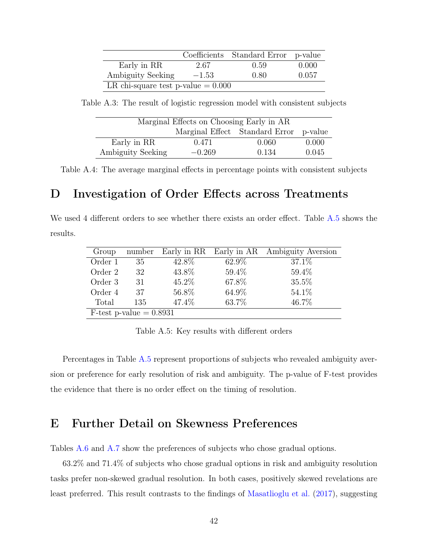<span id="page-42-0"></span>

|                                      |         | Coefficients Standard Error p-value |       |  |
|--------------------------------------|---------|-------------------------------------|-------|--|
| Early in RR                          | 2.67    | 0.59                                | 0.000 |  |
| Ambiguity Seeking                    | $-1.53$ | 0.80                                | 0.057 |  |
| LR chi-square test p-value $= 0.000$ |         |                                     |       |  |

<span id="page-42-1"></span>Table A.3: The result of logistic regression model with consistent subjects

| Marginal Effects on Choosing Early in AR |          |                                        |       |  |
|------------------------------------------|----------|----------------------------------------|-------|--|
|                                          |          | Marginal Effect Standard Error p-value |       |  |
| Early in RR                              | 0.471    | 0.060                                  | 0.000 |  |
| Ambiguity Seeking                        | $-0.269$ | 0.134                                  | 0.045 |  |

Table A.4: The average marginal effects in percentage points with consistent subjects

### D Investigation of Order Effects across Treatments

<span id="page-42-2"></span>We used 4 different orders to see whether there exists an order effect. Table [A.5](#page-42-2) shows the results.

| Group                     | number |          |       | Early in RR Early in AR Ambiguity Aversion |
|---------------------------|--------|----------|-------|--------------------------------------------|
| Order 1                   | 35     | 42.8%    | 62.9% | 37.1\%                                     |
| Order 2                   | 32     | 43.8%    | 59.4% | 59.4%                                      |
| Order 3                   | 31     | $45.2\%$ | 67.8% | 35.5%                                      |
| Order 4                   | 37     | 56.8%    | 64.9% | 54.1\%                                     |
| Total                     | 135    | 47.4%    | 63.7% | 46.7%                                      |
| F-test p-value $= 0.8931$ |        |          |       |                                            |

Table A.5: Key results with different orders

Percentages in Table [A.5](#page-42-2) represent proportions of subjects who revealed ambiguity aversion or preference for early resolution of risk and ambiguity. The p-value of F-test provides the evidence that there is no order effect on the timing of resolution.

# E Further Detail on Skewness Preferences

Tables [A.6](#page-43-0) and [A.7](#page-43-1) show the preferences of subjects who chose gradual options.

63.2% and 71.4% of subjects who chose gradual options in risk and ambiguity resolution tasks prefer non-skewed gradual resolution. In both cases, positively skewed revelations are least preferred. This result contrasts to the findings of [Masatlioglu et al.](#page-37-5) [\(2017\)](#page-37-5), suggesting